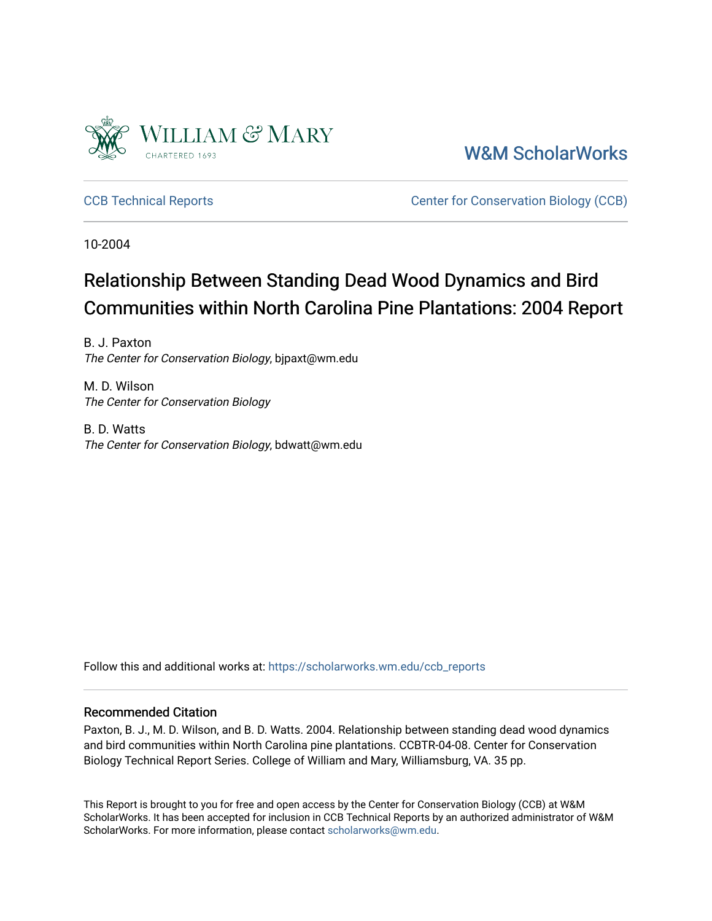

[W&M ScholarWorks](https://scholarworks.wm.edu/) 

[CCB Technical Reports](https://scholarworks.wm.edu/ccb_reports) [Center for Conservation Biology \(CCB\)](https://scholarworks.wm.edu/ccb) 

10-2004

# Relationship Between Standing Dead Wood Dynamics and Bird Communities within North Carolina Pine Plantations: 2004 Report

B. J. Paxton The Center for Conservation Biology, bjpaxt@wm.edu

M. D. Wilson The Center for Conservation Biology

B. D. Watts The Center for Conservation Biology, bdwatt@wm.edu

Follow this and additional works at: [https://scholarworks.wm.edu/ccb\\_reports](https://scholarworks.wm.edu/ccb_reports?utm_source=scholarworks.wm.edu%2Fccb_reports%2F407&utm_medium=PDF&utm_campaign=PDFCoverPages) 

#### Recommended Citation

Paxton, B. J., M. D. Wilson, and B. D. Watts. 2004. Relationship between standing dead wood dynamics and bird communities within North Carolina pine plantations. CCBTR-04-08. Center for Conservation Biology Technical Report Series. College of William and Mary, Williamsburg, VA. 35 pp.

This Report is brought to you for free and open access by the Center for Conservation Biology (CCB) at W&M ScholarWorks. It has been accepted for inclusion in CCB Technical Reports by an authorized administrator of W&M ScholarWorks. For more information, please contact [scholarworks@wm.edu.](mailto:scholarworks@wm.edu)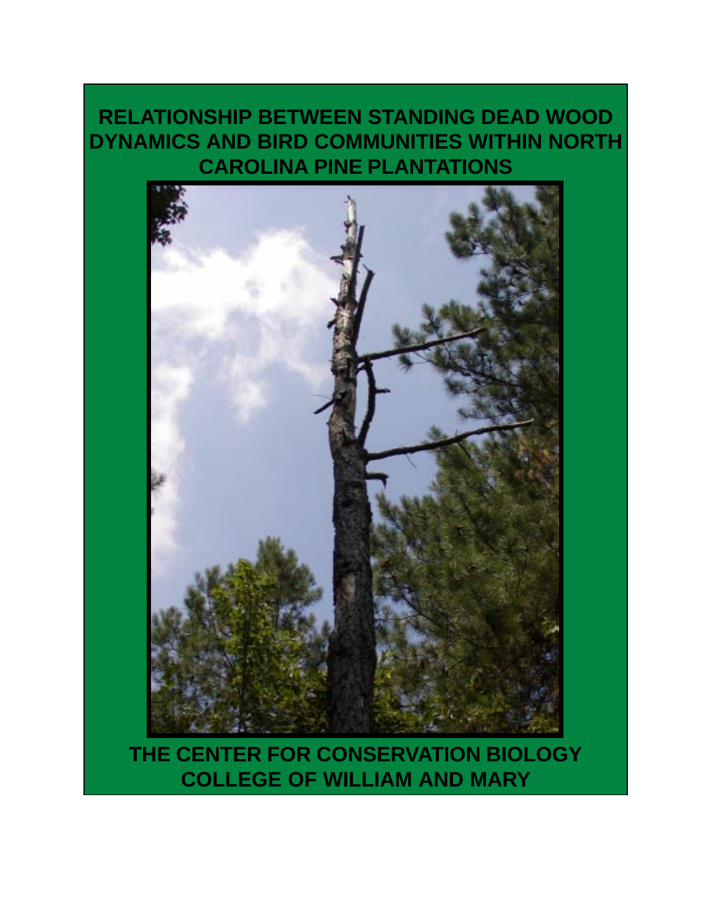# **RELATIONSHIP BETWEEN STANDING DEAD WOOD DYNAMICS AND BIRD COMMUNITIES WITHIN NORTH CAROLINA PINE PLANTATIONS**



**THE CENTER FOR CONSERVATION BIOLOGY COLLEGE OF WILLIAM AND MARY**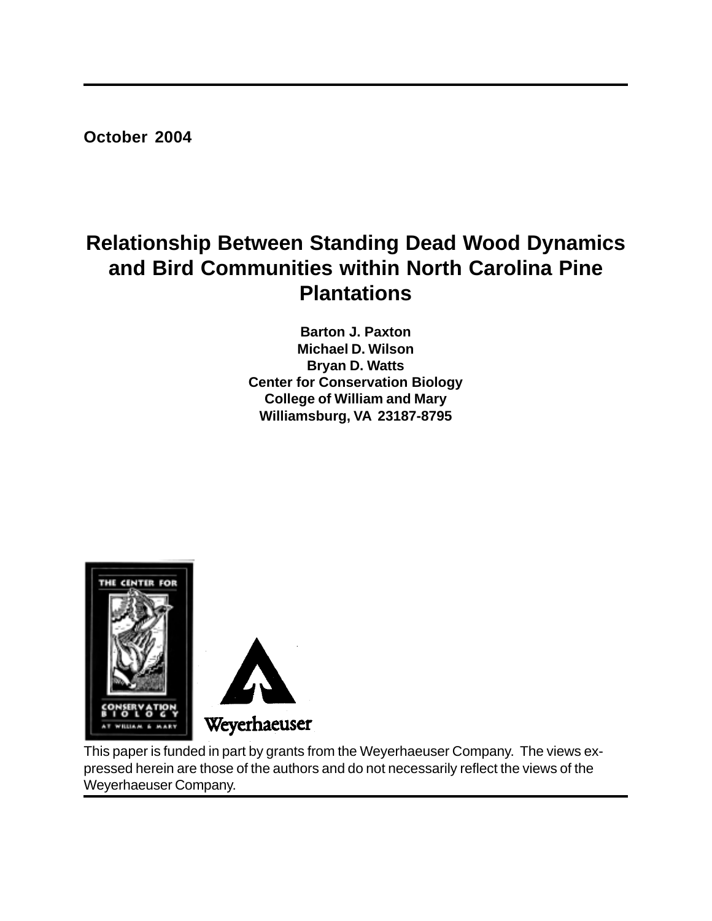**October 2004**

# **Relationship Between Standing Dead Wood Dynamics and Bird Communities within North Carolina Pine Plantations**

**Barton J. Paxton Michael D. Wilson Bryan D. Watts Center for Conservation Biology College of William and Mary Williamsburg, VA 23187-8795**



This paper is funded in part by grants from the Weyerhaeuser Company. The views expressed herein are those of the authors and do not necessarily reflect the views of the Weyerhaeuser Company.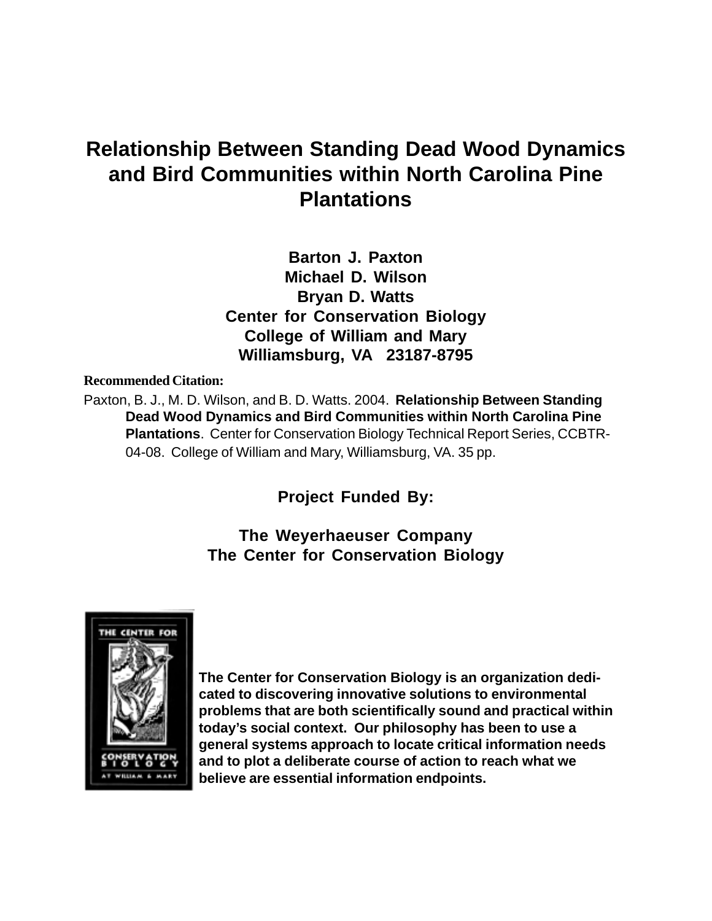# **Relationship Between Standing Dead Wood Dynamics and Bird Communities within North Carolina Pine Plantations**

**Barton J. Paxton Michael D. Wilson Bryan D. Watts Center for Conservation Biology College of William and Mary Williamsburg, VA 23187-8795**

#### **Recommended Citation:**

Paxton, B. J., M. D. Wilson, and B. D. Watts. 2004. **Relationship Between Standing Dead Wood Dynamics and Bird Communities within North Carolina Pine Plantations**. Center for Conservation Biology Technical Report Series, CCBTR-04-08. College of William and Mary, Williamsburg, VA. 35 pp.

**Project Funded By:**

## **The Weyerhaeuser Company The Center for Conservation Biology**



**The Center for Conservation Biology is an organization dedicated to discovering innovative solutions to environmental problems that are both scientifically sound and practical within today's social context. Our philosophy has been to use a general systems approach to locate critical information needs and to plot a deliberate course of action to reach what we believe are essential information endpoints.**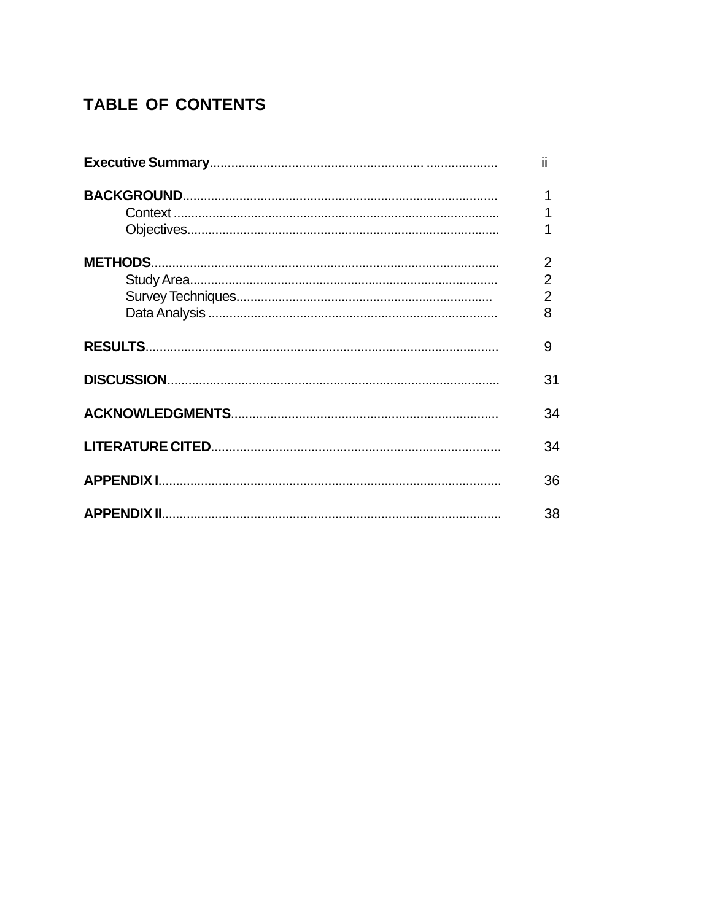# **TABLE OF CONTENTS**

| н              |
|----------------|
| 1              |
|                |
|                |
| $\overline{2}$ |
| $\overline{2}$ |
| $\overline{2}$ |
| 8              |
| 9              |
| 31             |
| 34             |
| 34             |
| 36             |
| 38             |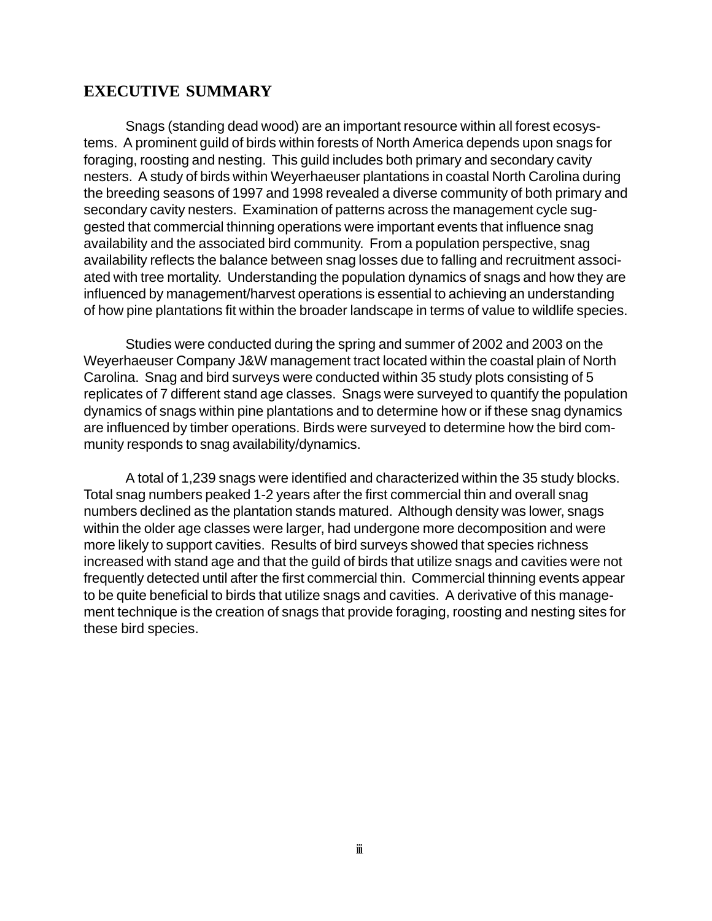### **EXECUTIVE SUMMARY**

Snags (standing dead wood) are an important resource within all forest ecosystems. A prominent guild of birds within forests of North America depends upon snags for foraging, roosting and nesting. This guild includes both primary and secondary cavity nesters. A study of birds within Weyerhaeuser plantations in coastal North Carolina during the breeding seasons of 1997 and 1998 revealed a diverse community of both primary and secondary cavity nesters. Examination of patterns across the management cycle suggested that commercial thinning operations were important events that influence snag availability and the associated bird community. From a population perspective, snag availability reflects the balance between snag losses due to falling and recruitment associated with tree mortality. Understanding the population dynamics of snags and how they are influenced by management/harvest operations is essential to achieving an understanding of how pine plantations fit within the broader landscape in terms of value to wildlife species.

Studies were conducted during the spring and summer of 2002 and 2003 on the Weyerhaeuser Company J&W management tract located within the coastal plain of North Carolina. Snag and bird surveys were conducted within 35 study plots consisting of 5 replicates of 7 different stand age classes. Snags were surveyed to quantify the population dynamics of snags within pine plantations and to determine how or if these snag dynamics are influenced by timber operations. Birds were surveyed to determine how the bird community responds to snag availability/dynamics.

A total of 1,239 snags were identified and characterized within the 35 study blocks. Total snag numbers peaked 1-2 years after the first commercial thin and overall snag numbers declined as the plantation stands matured. Although density was lower, snags within the older age classes were larger, had undergone more decomposition and were more likely to support cavities. Results of bird surveys showed that species richness increased with stand age and that the guild of birds that utilize snags and cavities were not frequently detected until after the first commercial thin. Commercial thinning events appear to be quite beneficial to birds that utilize snags and cavities. A derivative of this management technique is the creation of snags that provide foraging, roosting and nesting sites for these bird species.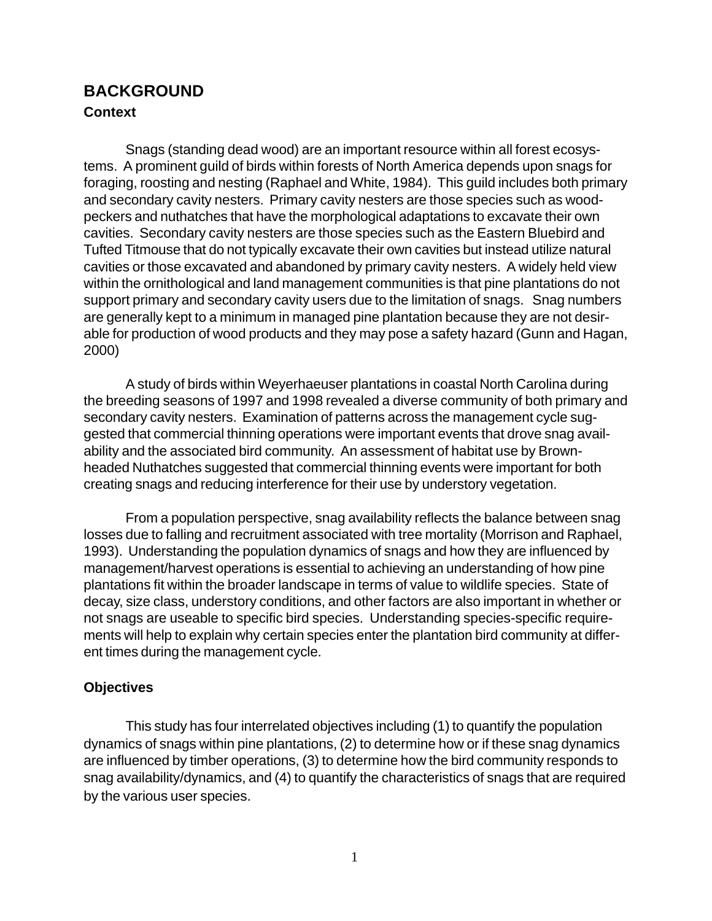# **BACKGROUND Context**

Snags (standing dead wood) are an important resource within all forest ecosystems. A prominent guild of birds within forests of North America depends upon snags for foraging, roosting and nesting (Raphael and White, 1984). This guild includes both primary and secondary cavity nesters. Primary cavity nesters are those species such as woodpeckers and nuthatches that have the morphological adaptations to excavate their own cavities. Secondary cavity nesters are those species such as the Eastern Bluebird and Tufted Titmouse that do not typically excavate their own cavities but instead utilize natural cavities or those excavated and abandoned by primary cavity nesters. A widely held view within the ornithological and land management communities is that pine plantations do not support primary and secondary cavity users due to the limitation of snags. Snag numbers are generally kept to a minimum in managed pine plantation because they are not desirable for production of wood products and they may pose a safety hazard (Gunn and Hagan, 2000)

A study of birds within Weyerhaeuser plantations in coastal North Carolina during the breeding seasons of 1997 and 1998 revealed a diverse community of both primary and secondary cavity nesters. Examination of patterns across the management cycle suggested that commercial thinning operations were important events that drove snag availability and the associated bird community. An assessment of habitat use by Brownheaded Nuthatches suggested that commercial thinning events were important for both creating snags and reducing interference for their use by understory vegetation.

From a population perspective, snag availability reflects the balance between snag losses due to falling and recruitment associated with tree mortality (Morrison and Raphael, 1993). Understanding the population dynamics of snags and how they are influenced by management/harvest operations is essential to achieving an understanding of how pine plantations fit within the broader landscape in terms of value to wildlife species. State of decay, size class, understory conditions, and other factors are also important in whether or not snags are useable to specific bird species. Understanding species-specific requirements will help to explain why certain species enter the plantation bird community at different times during the management cycle.

#### **Objectives**

This study has four interrelated objectives including (1) to quantify the population dynamics of snags within pine plantations, (2) to determine how or if these snag dynamics are influenced by timber operations, (3) to determine how the bird community responds to snag availability/dynamics, and (4) to quantify the characteristics of snags that are required by the various user species.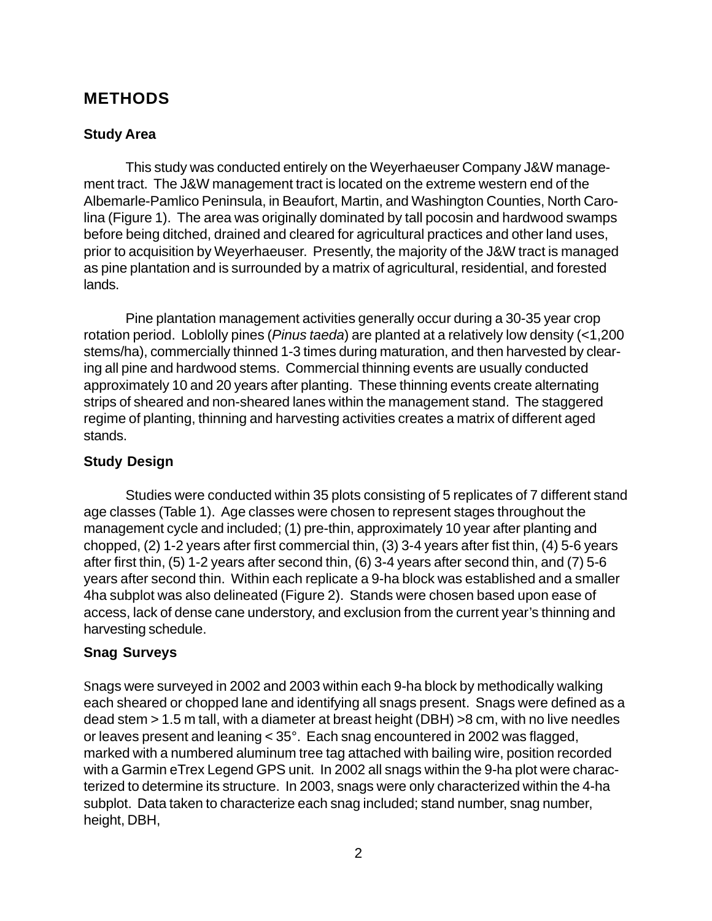## **METHODS**

#### **Study Area**

This study was conducted entirely on the Weyerhaeuser Company J&W management tract. The J&W management tract is located on the extreme western end of the Albemarle-Pamlico Peninsula, in Beaufort, Martin, and Washington Counties, North Carolina (Figure 1). The area was originally dominated by tall pocosin and hardwood swamps before being ditched, drained and cleared for agricultural practices and other land uses, prior to acquisition by Weyerhaeuser. Presently, the majority of the J&W tract is managed as pine plantation and is surrounded by a matrix of agricultural, residential, and forested lands.

Pine plantation management activities generally occur during a 30-35 year crop rotation period. Loblolly pines (*Pinus taeda*) are planted at a relatively low density (<1,200 stems/ha), commercially thinned 1-3 times during maturation, and then harvested by clearing all pine and hardwood stems. Commercial thinning events are usually conducted approximately 10 and 20 years after planting. These thinning events create alternating strips of sheared and non-sheared lanes within the management stand. The staggered regime of planting, thinning and harvesting activities creates a matrix of different aged stands.

#### **Study Design**

Studies were conducted within 35 plots consisting of 5 replicates of 7 different stand age classes (Table 1). Age classes were chosen to represent stages throughout the management cycle and included; (1) pre-thin, approximately 10 year after planting and chopped, (2) 1-2 years after first commercial thin, (3) 3-4 years after fist thin, (4) 5-6 years after first thin, (5) 1-2 years after second thin, (6) 3-4 years after second thin, and (7) 5-6 years after second thin. Within each replicate a 9-ha block was established and a smaller 4ha subplot was also delineated (Figure 2). Stands were chosen based upon ease of access, lack of dense cane understory, and exclusion from the current year's thinning and harvesting schedule.

### **Snag Surveys**

Snags were surveyed in 2002 and 2003 within each 9-ha block by methodically walking each sheared or chopped lane and identifying all snags present. Snags were defined as a dead stem > 1.5 m tall, with a diameter at breast height (DBH) >8 cm, with no live needles or leaves present and leaning < 35°. Each snag encountered in 2002 was flagged, marked with a numbered aluminum tree tag attached with bailing wire, position recorded with a Garmin eTrex Legend GPS unit. In 2002 all snags within the 9-ha plot were characterized to determine its structure. In 2003, snags were only characterized within the 4-ha subplot. Data taken to characterize each snag included; stand number, snag number, height, DBH,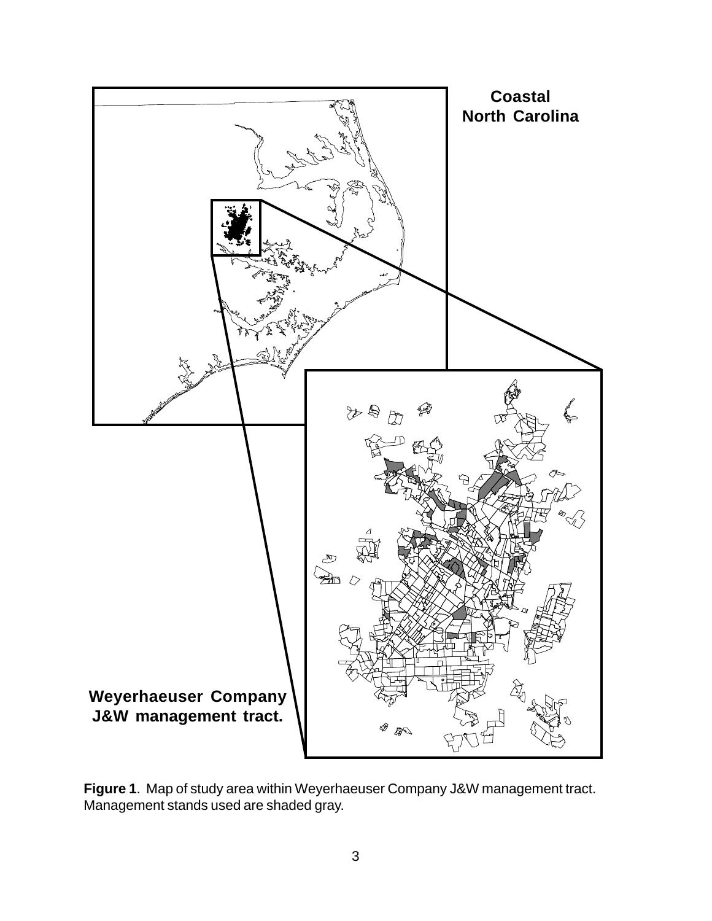

**Figure 1**. Map of study area within Weyerhaeuser Company J&W management tract. Management stands used are shaded gray.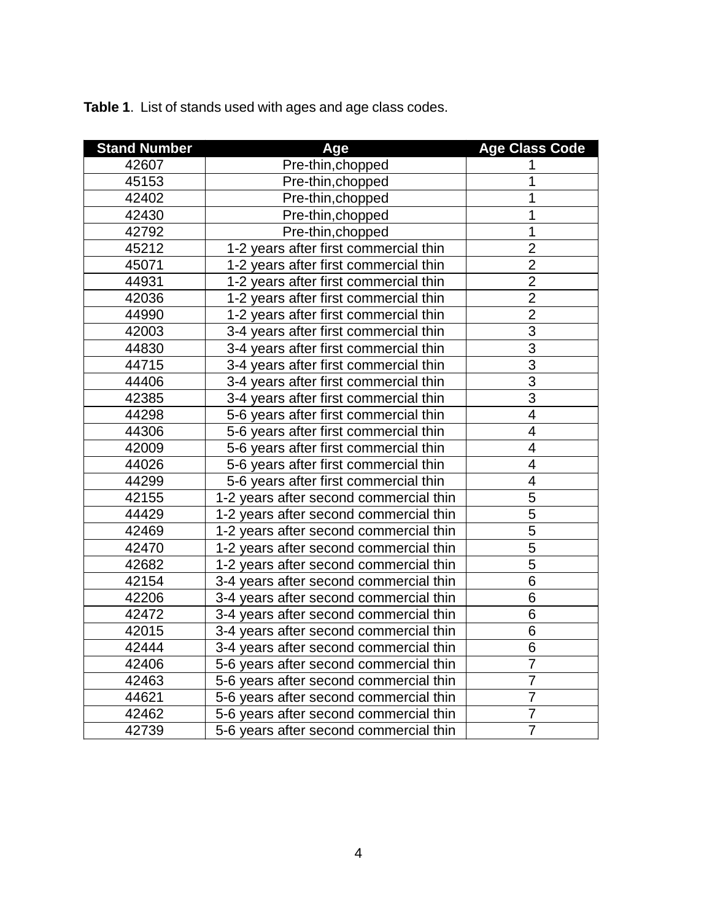| <b>Stand Number</b> | Age                                    | <b>Age Class Code</b>    |
|---------------------|----------------------------------------|--------------------------|
| 42607               | Pre-thin, chopped                      | 1                        |
| 45153               | Pre-thin, chopped                      | 1                        |
| 42402               | Pre-thin, chopped                      | 1                        |
| 42430               | Pre-thin, chopped                      | 1                        |
| 42792               | Pre-thin, chopped                      | 1                        |
| 45212               | 1-2 years after first commercial thin  | $\overline{2}$           |
| 45071               | 1-2 years after first commercial thin  | $\overline{c}$           |
| 44931               | 1-2 years after first commercial thin  | $\overline{2}$           |
| 42036               | 1-2 years after first commercial thin  | $\overline{2}$           |
| 44990               | 1-2 years after first commercial thin  | $\overline{2}$           |
| 42003               | 3-4 years after first commercial thin  | 3                        |
| 44830               | 3-4 years after first commercial thin  | $\overline{3}$           |
| 44715               | 3-4 years after first commercial thin  | 3                        |
| 44406               | 3-4 years after first commercial thin  | $\overline{3}$           |
| 42385               | 3-4 years after first commercial thin  | $\overline{3}$           |
| 44298               | 5-6 years after first commercial thin  | $\overline{4}$           |
| 44306               | 5-6 years after first commercial thin  | $\overline{\mathbf{4}}$  |
| 42009               | 5-6 years after first commercial thin  | $\overline{\mathcal{A}}$ |
| 44026               | 5-6 years after first commercial thin  | $\overline{\mathbf{4}}$  |
| 44299               | 5-6 years after first commercial thin  | $\overline{\mathcal{A}}$ |
| 42155               | 1-2 years after second commercial thin | 5                        |
| 44429               | 1-2 years after second commercial thin | $\overline{5}$           |
| 42469               | 1-2 years after second commercial thin | 5                        |
| 42470               | 1-2 years after second commercial thin | $\overline{5}$           |
| 42682               | 1-2 years after second commercial thin | 5                        |
| 42154               | 3-4 years after second commercial thin | 6                        |
| 42206               | 3-4 years after second commercial thin | 6                        |
| 42472               | 3-4 years after second commercial thin | 6                        |
| 42015               | 3-4 years after second commercial thin | 6                        |
| 42444               | 3-4 years after second commercial thin | $\overline{6}$           |
| 42406               | 5-6 years after second commercial thin | $\overline{7}$           |
| 42463               | 5-6 years after second commercial thin | $\overline{7}$           |
| 44621               | 5-6 years after second commercial thin | $\overline{7}$           |
| 42462               | 5-6 years after second commercial thin | $\overline{7}$           |
| 42739               | 5-6 years after second commercial thin | $\overline{7}$           |

**Table 1**. List of stands used with ages and age class codes.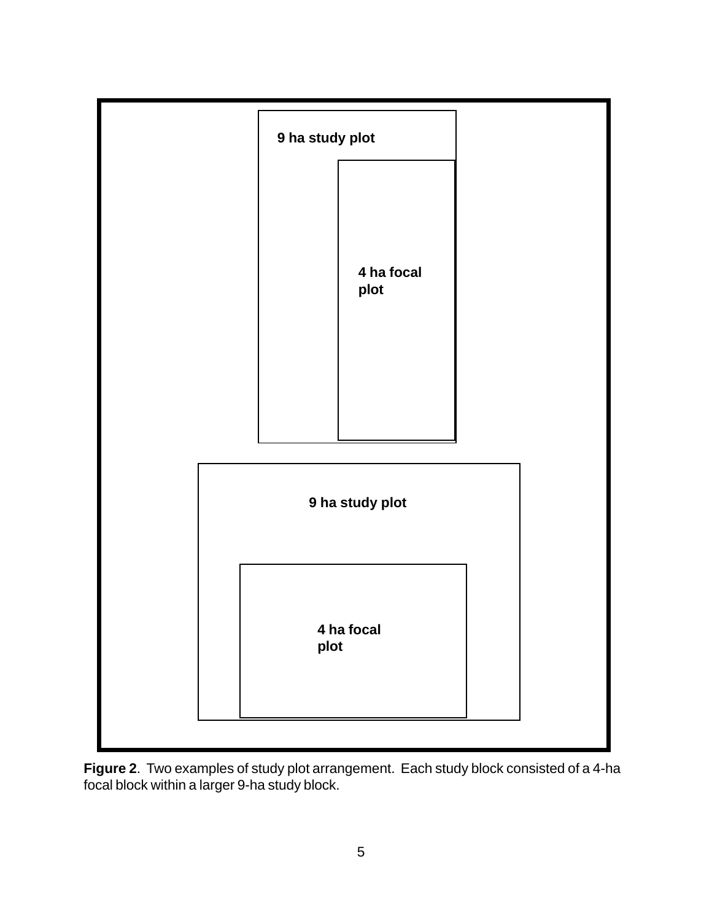

**Figure 2**. Two examples of study plot arrangement. Each study block consisted of a 4-ha focal block within a larger 9-ha study block.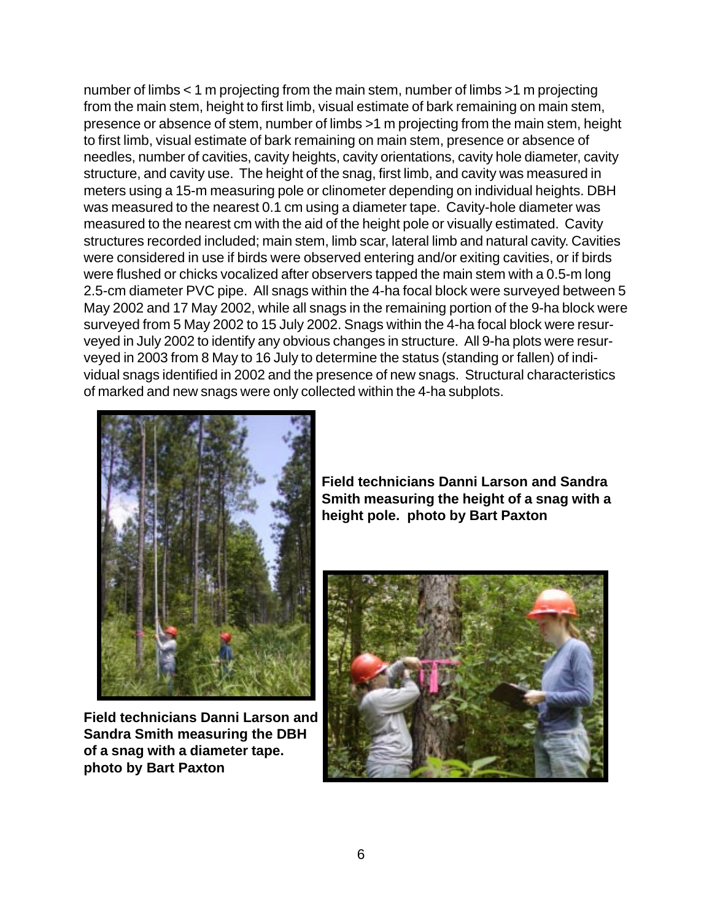number of limbs < 1 m projecting from the main stem, number of limbs >1 m projecting from the main stem, height to first limb, visual estimate of bark remaining on main stem, presence or absence of stem, number of limbs >1 m projecting from the main stem, height to first limb, visual estimate of bark remaining on main stem, presence or absence of needles, number of cavities, cavity heights, cavity orientations, cavity hole diameter, cavity structure, and cavity use. The height of the snag, first limb, and cavity was measured in meters using a 15-m measuring pole or clinometer depending on individual heights. DBH was measured to the nearest 0.1 cm using a diameter tape. Cavity-hole diameter was measured to the nearest cm with the aid of the height pole or visually estimated. Cavity structures recorded included; main stem, limb scar, lateral limb and natural cavity. Cavities were considered in use if birds were observed entering and/or exiting cavities, or if birds were flushed or chicks vocalized after observers tapped the main stem with a 0.5-m long 2.5-cm diameter PVC pipe. All snags within the 4-ha focal block were surveyed between 5 May 2002 and 17 May 2002, while all snags in the remaining portion of the 9-ha block were surveyed from 5 May 2002 to 15 July 2002. Snags within the 4-ha focal block were resurveyed in July 2002 to identify any obvious changes in structure. All 9-ha plots were resurveyed in 2003 from 8 May to 16 July to determine the status (standing or fallen) of individual snags identified in 2002 and the presence of new snags. Structural characteristics of marked and new snags were only collected within the 4-ha subplots.



**Field technicians Danni Larson and Sandra Smith measuring the DBH of a snag with a diameter tape. photo by Bart Paxton**

**Field technicians Danni Larson and Sandra Smith measuring the height of a snag with a height pole. photo by Bart Paxton**

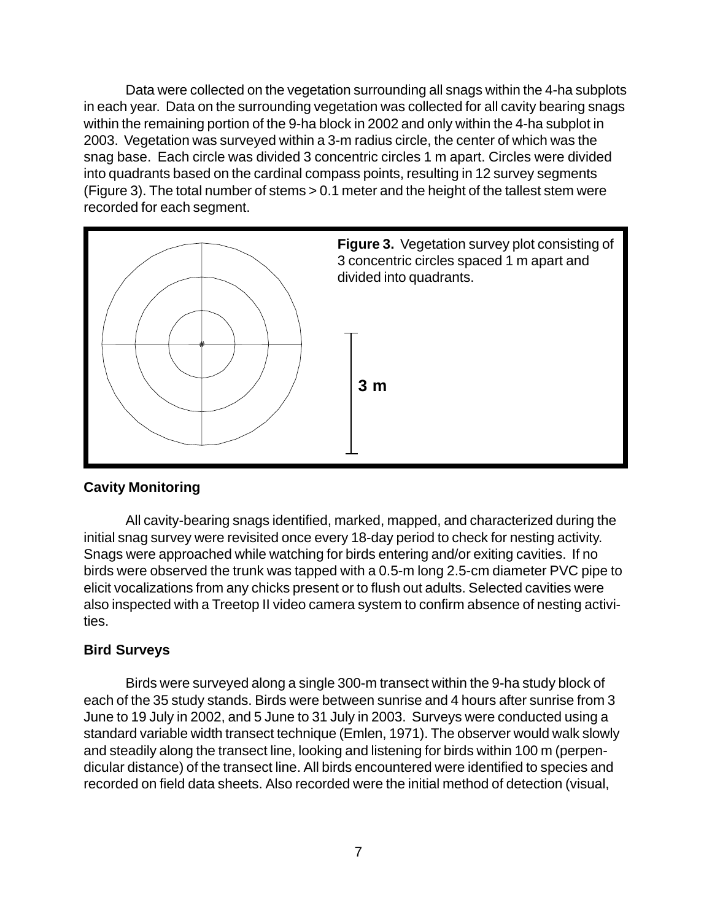Data were collected on the vegetation surrounding all snags within the 4-ha subplots in each year. Data on the surrounding vegetation was collected for all cavity bearing snags within the remaining portion of the 9-ha block in 2002 and only within the 4-ha subplot in 2003. Vegetation was surveyed within a 3-m radius circle, the center of which was the snag base. Each circle was divided 3 concentric circles 1 m apart. Circles were divided into quadrants based on the cardinal compass points, resulting in 12 survey segments (Figure 3). The total number of stems > 0.1 meter and the height of the tallest stem were recorded for each segment.



#### **Cavity Monitoring**

All cavity-bearing snags identified, marked, mapped, and characterized during the initial snag survey were revisited once every 18-day period to check for nesting activity. Snags were approached while watching for birds entering and/or exiting cavities. If no birds were observed the trunk was tapped with a 0.5-m long 2.5-cm diameter PVC pipe to elicit vocalizations from any chicks present or to flush out adults. Selected cavities were also inspected with a Treetop II video camera system to confirm absence of nesting activities.

#### **Bird Surveys**

Birds were surveyed along a single 300-m transect within the 9-ha study block of each of the 35 study stands. Birds were between sunrise and 4 hours after sunrise from 3 June to 19 July in 2002, and 5 June to 31 July in 2003. Surveys were conducted using a standard variable width transect technique (Emlen, 1971). The observer would walk slowly and steadily along the transect line, looking and listening for birds within 100 m (perpendicular distance) of the transect line. All birds encountered were identified to species and recorded on field data sheets. Also recorded were the initial method of detection (visual,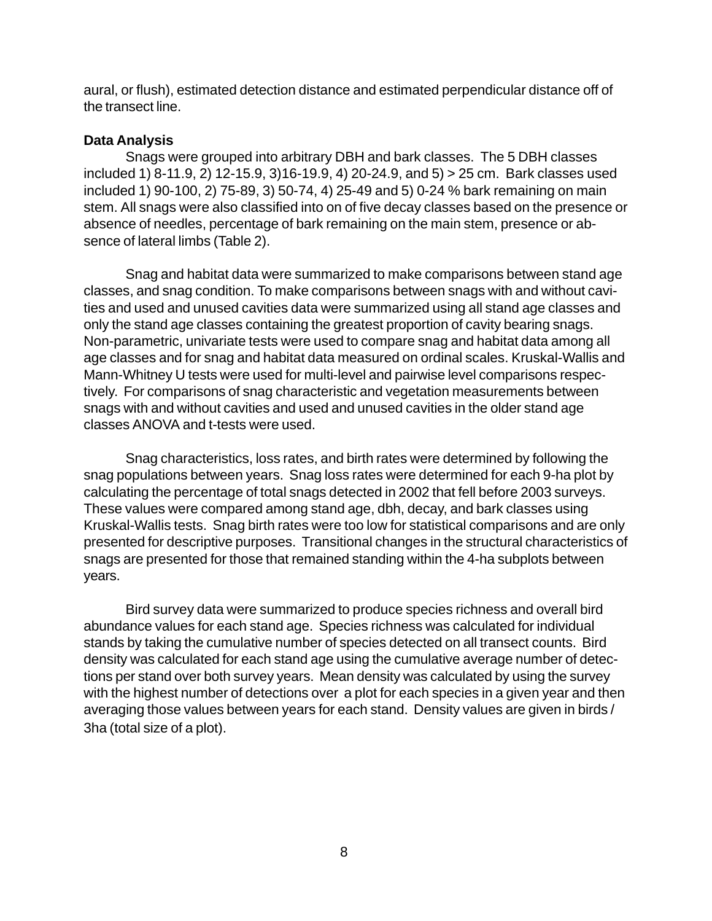aural, or flush), estimated detection distance and estimated perpendicular distance off of the transect line.

#### **Data Analysis**

Snags were grouped into arbitrary DBH and bark classes. The 5 DBH classes included 1) 8-11.9, 2) 12-15.9, 3)16-19.9, 4) 20-24.9, and 5) > 25 cm. Bark classes used included 1) 90-100, 2) 75-89, 3) 50-74, 4) 25-49 and 5) 0-24 % bark remaining on main stem. All snags were also classified into on of five decay classes based on the presence or absence of needles, percentage of bark remaining on the main stem, presence or absence of lateral limbs (Table 2).

Snag and habitat data were summarized to make comparisons between stand age classes, and snag condition. To make comparisons between snags with and without cavities and used and unused cavities data were summarized using all stand age classes and only the stand age classes containing the greatest proportion of cavity bearing snags. Non-parametric, univariate tests were used to compare snag and habitat data among all age classes and for snag and habitat data measured on ordinal scales. Kruskal-Wallis and Mann-Whitney U tests were used for multi-level and pairwise level comparisons respectively. For comparisons of snag characteristic and vegetation measurements between snags with and without cavities and used and unused cavities in the older stand age classes ANOVA and t-tests were used.

Snag characteristics, loss rates, and birth rates were determined by following the snag populations between years. Snag loss rates were determined for each 9-ha plot by calculating the percentage of total snags detected in 2002 that fell before 2003 surveys. These values were compared among stand age, dbh, decay, and bark classes using Kruskal-Wallis tests. Snag birth rates were too low for statistical comparisons and are only presented for descriptive purposes. Transitional changes in the structural characteristics of snags are presented for those that remained standing within the 4-ha subplots between years.

Bird survey data were summarized to produce species richness and overall bird abundance values for each stand age. Species richness was calculated for individual stands by taking the cumulative number of species detected on all transect counts. Bird density was calculated for each stand age using the cumulative average number of detections per stand over both survey years. Mean density was calculated by using the survey with the highest number of detections over a plot for each species in a given year and then averaging those values between years for each stand. Density values are given in birds / 3ha (total size of a plot).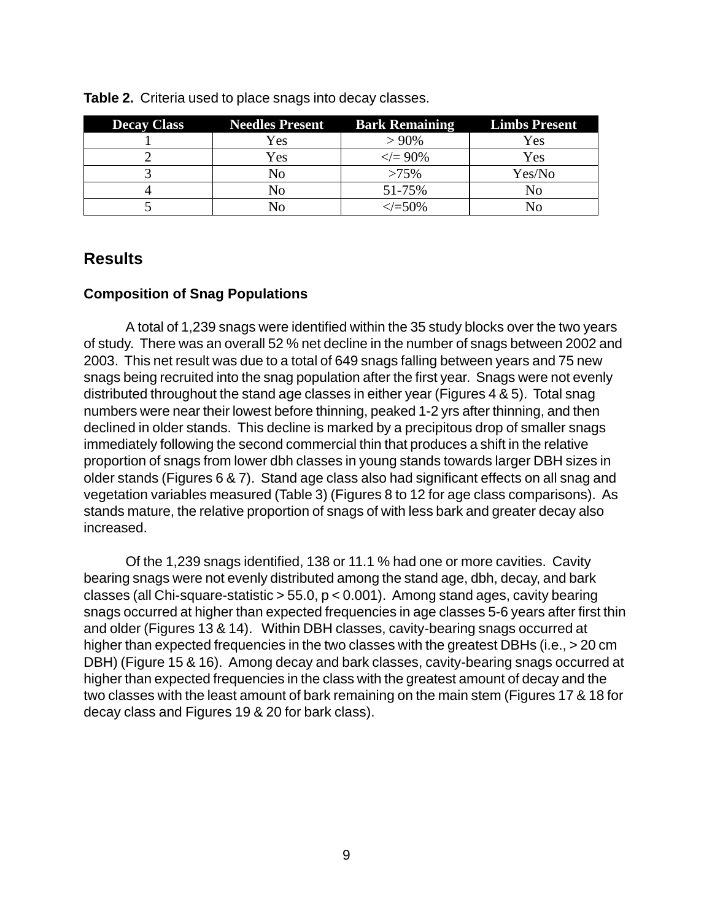| <b>Decay Class</b> | <b>Needles Present</b> | <b>Bark Remaining</b> | <b>Limbs Present</b> |
|--------------------|------------------------|-----------------------|----------------------|
|                    | Yes                    | $>90\%$               | Yes                  |
|                    | Yes                    | $\ll=90\%$            | Yes                  |
|                    | No                     | $>75\%$               | Yes/No               |
|                    | Nο                     | 51-75%                | N٥                   |
|                    |                        | $\ll$ = 50%           | ง∩                   |

**Table 2.** Criteria used to place snags into decay classes.

## **Results**

#### **Composition of Snag Populations**

A total of 1,239 snags were identified within the 35 study blocks over the two years of study. There was an overall 52 % net decline in the number of snags between 2002 and 2003. This net result was due to a total of 649 snags falling between years and 75 new snags being recruited into the snag population after the first year. Snags were not evenly distributed throughout the stand age classes in either year (Figures 4 & 5). Total snag numbers were near their lowest before thinning, peaked 1-2 yrs after thinning, and then declined in older stands. This decline is marked by a precipitous drop of smaller snags immediately following the second commercial thin that produces a shift in the relative proportion of snags from lower dbh classes in young stands towards larger DBH sizes in older stands (Figures 6 & 7). Stand age class also had significant effects on all snag and vegetation variables measured (Table 3) (Figures 8 to 12 for age class comparisons). As stands mature, the relative proportion of snags of with less bark and greater decay also increased.

Of the 1,239 snags identified, 138 or 11.1 % had one or more cavities. Cavity bearing snags were not evenly distributed among the stand age, dbh, decay, and bark classes (all Chi-square-statistic  $> 55.0$ ,  $p < 0.001$ ). Among stand ages, cavity bearing snags occurred at higher than expected frequencies in age classes 5-6 years after first thin and older (Figures 13 & 14). Within DBH classes, cavity-bearing snags occurred at higher than expected frequencies in the two classes with the greatest DBHs (i.e., > 20 cm DBH) (Figure 15 & 16). Among decay and bark classes, cavity-bearing snags occurred at higher than expected frequencies in the class with the greatest amount of decay and the two classes with the least amount of bark remaining on the main stem (Figures 17 & 18 for decay class and Figures 19 & 20 for bark class).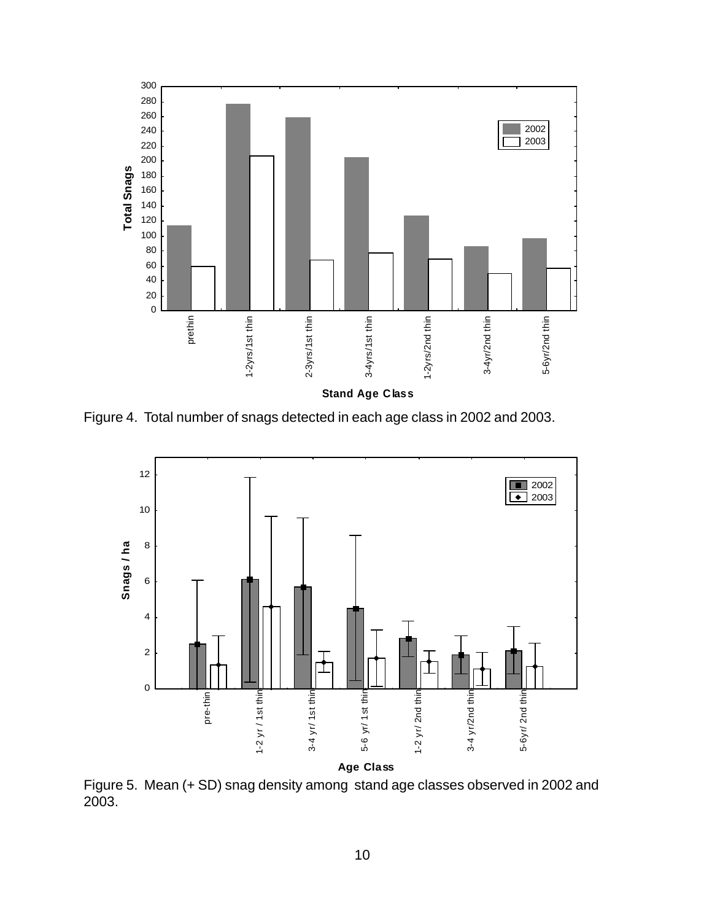

Figure 4. Total number of snags detected in each age class in 2002 and 2003.



Figure 5. Mean (+ SD) snag density among stand age classes observed in 2002 and 2003.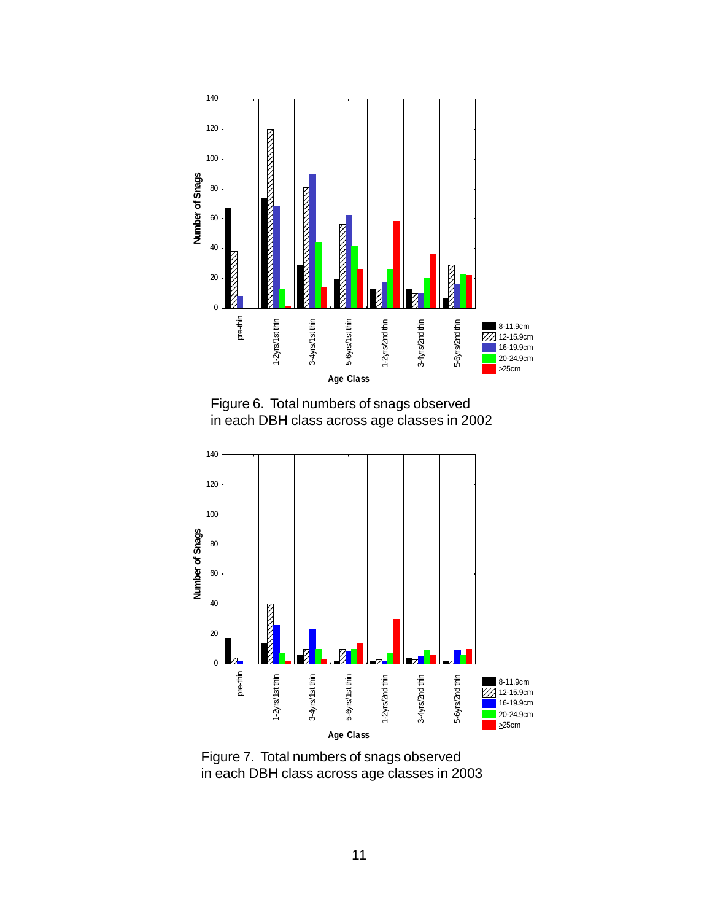

Figure 6. Total numbers of snags observed in each DBH class across age classes in 2002



Figure 7. Total numbers of snags observed in each DBH class across age classes in 2003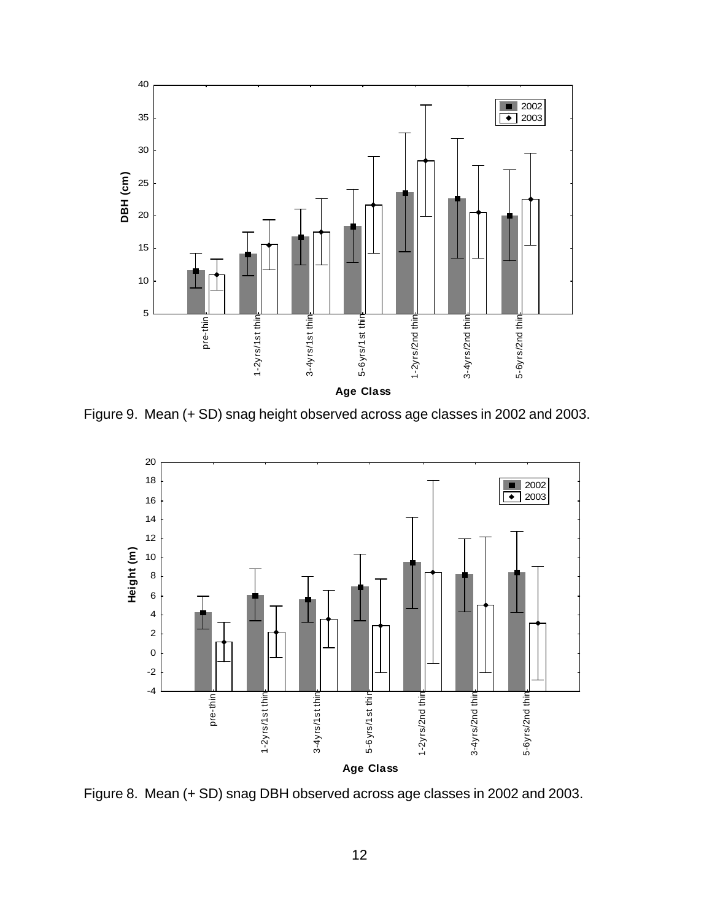![](_page_17_Figure_0.jpeg)

Figure 9. Mean (+ SD) snag height observed across age classes in 2002 and 2003.

![](_page_17_Figure_2.jpeg)

Figure 8. Mean (+ SD) snag DBH observed across age classes in 2002 and 2003.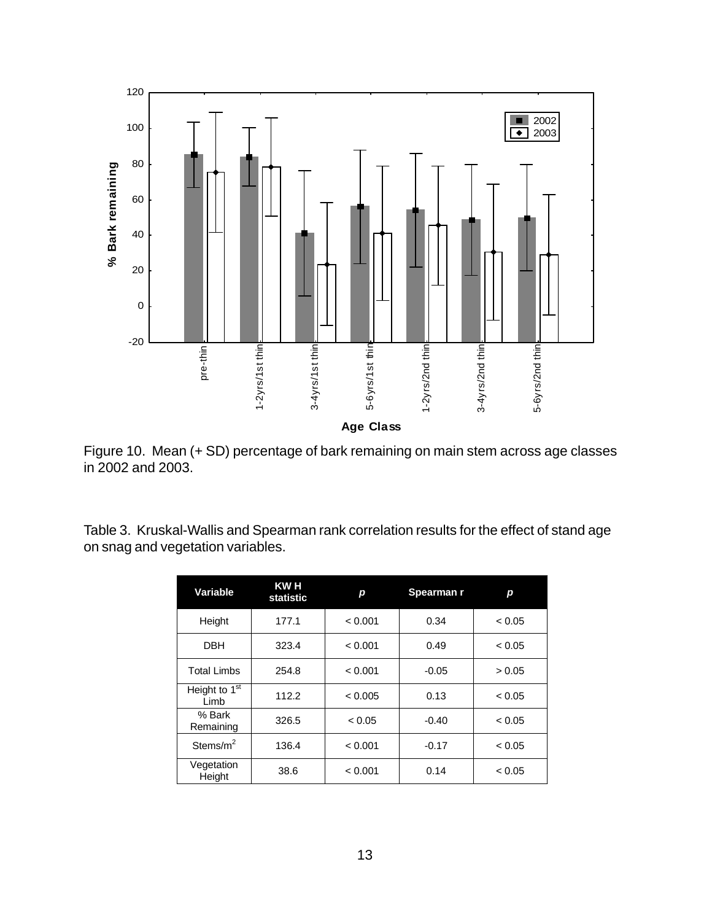![](_page_18_Figure_0.jpeg)

Figure 10. Mean (+ SD) percentage of bark remaining on main stem across age classes in 2002 and 2003.

Table 3. Kruskal-Wallis and Spearman rank correlation results for the effect of stand age on snag and vegetation variables.

| Variable                          | KW H<br>statistic | р       | Spearman r | р      |
|-----------------------------------|-------------------|---------|------------|--------|
| Height                            | 177.1             | < 0.001 | 0.34       | < 0.05 |
| <b>DBH</b>                        | 323.4             | < 0.001 | 0.49       | < 0.05 |
| <b>Total Limbs</b>                | 254.8             | < 0.001 | $-0.05$    | > 0.05 |
| Height to 1 <sup>st</sup><br>Limb | 112.2             | < 0.005 | 0.13       | < 0.05 |
| % Bark<br>Remaining               | 326.5             | < 0.05  | $-0.40$    | < 0.05 |
| Stems/m <sup>2</sup>              | 136.4             | < 0.001 | $-0.17$    | < 0.05 |
| Vegetation<br>Height              | 38.6              | < 0.001 | 0.14       | < 0.05 |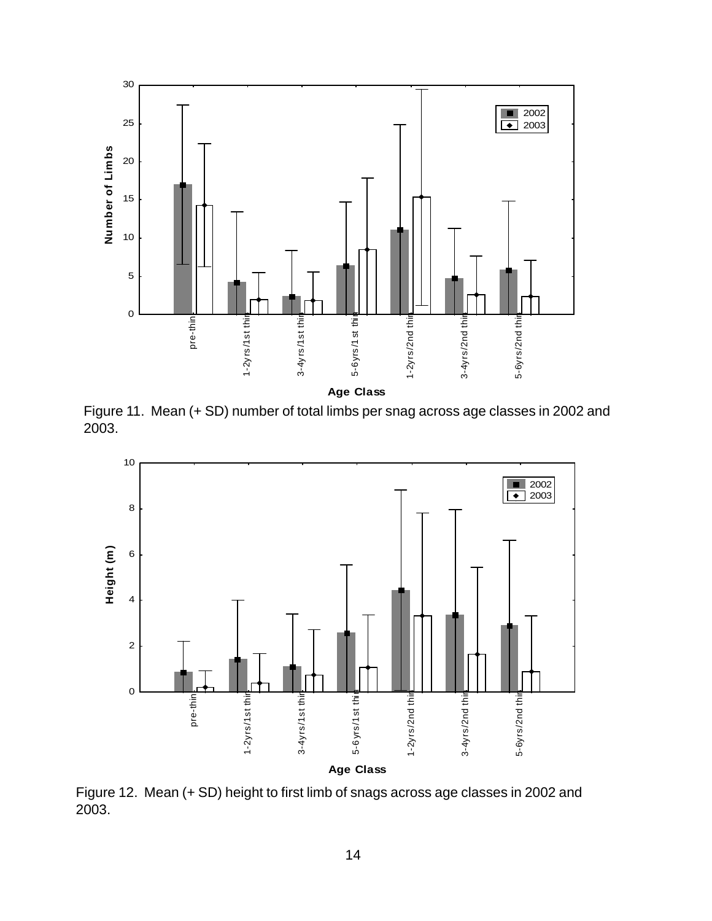![](_page_19_Figure_0.jpeg)

Figure 11. Mean (+ SD) number of total limbs per snag across age classes in 2002 and 2003.

![](_page_19_Figure_2.jpeg)

Figure 12. Mean (+ SD) height to first limb of snags across age classes in 2002 and 2003.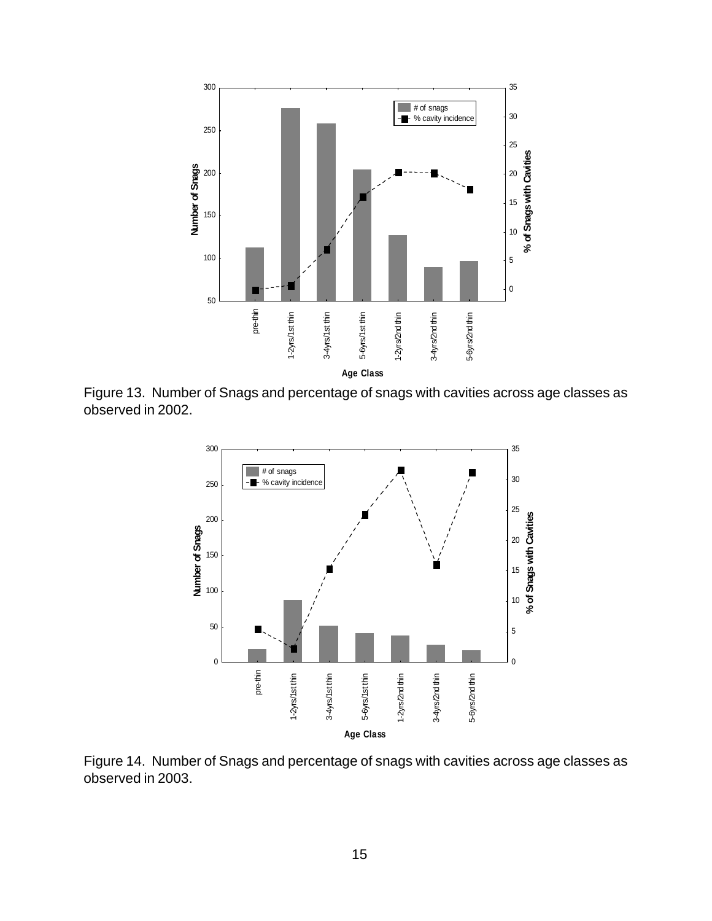![](_page_20_Figure_0.jpeg)

Figure 13. Number of Snags and percentage of snags with cavities across age classes as observed in 2002.

![](_page_20_Figure_2.jpeg)

Figure 14. Number of Snags and percentage of snags with cavities across age classes as observed in 2003.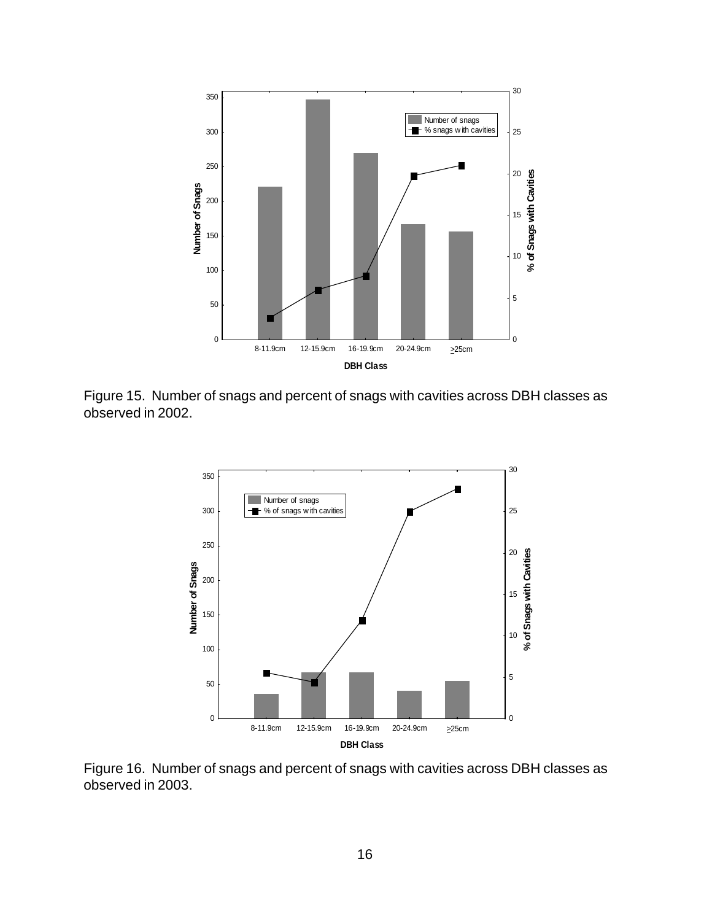![](_page_21_Figure_0.jpeg)

Figure 15. Number of snags and percent of snags with cavities across DBH classes as observed in 2002.

![](_page_21_Figure_2.jpeg)

Figure 16. Number of snags and percent of snags with cavities across DBH classes as observed in 2003.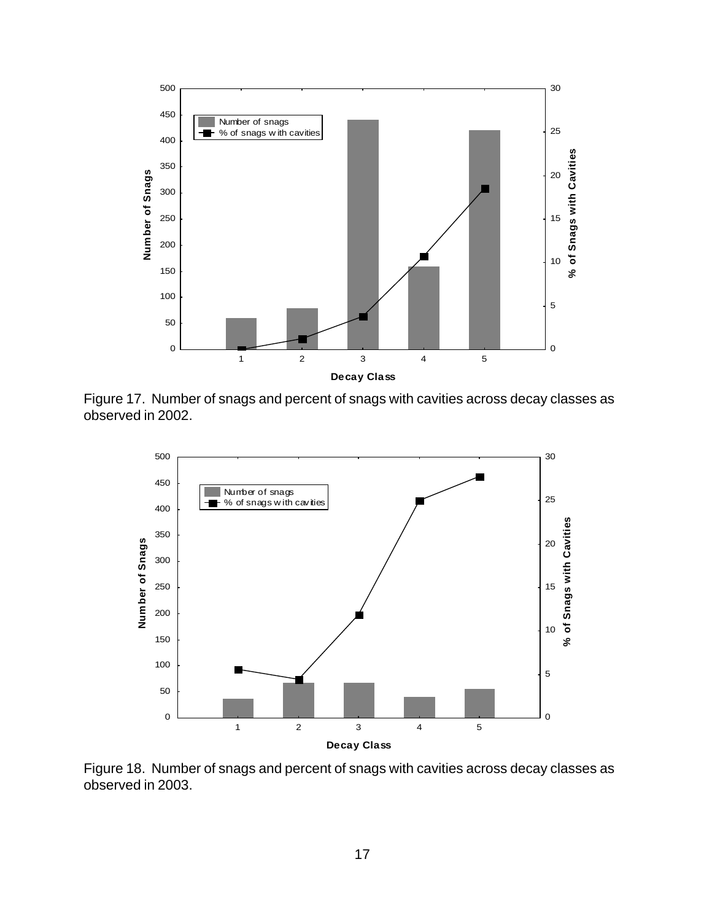![](_page_22_Figure_0.jpeg)

Figure 17. Number of snags and percent of snags with cavities across decay classes as observed in 2002.

![](_page_22_Figure_2.jpeg)

Figure 18. Number of snags and percent of snags with cavities across decay classes as observed in 2003.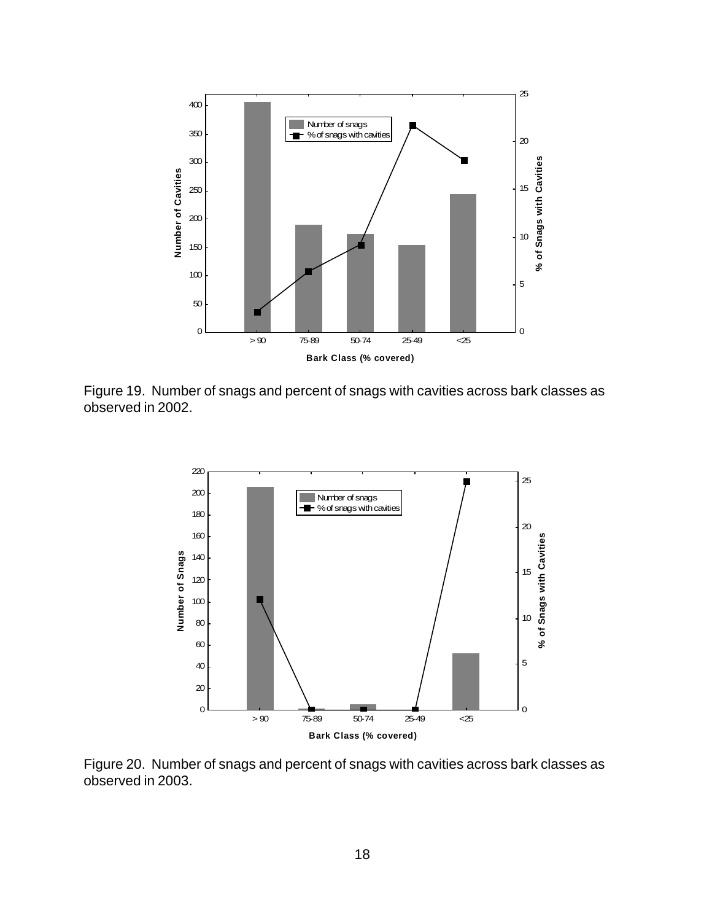![](_page_23_Figure_0.jpeg)

Figure 19. Number of snags and percent of snags with cavities across bark classes as observed in 2002.

![](_page_23_Figure_2.jpeg)

Figure 20. Number of snags and percent of snags with cavities across bark classes as observed in 2003.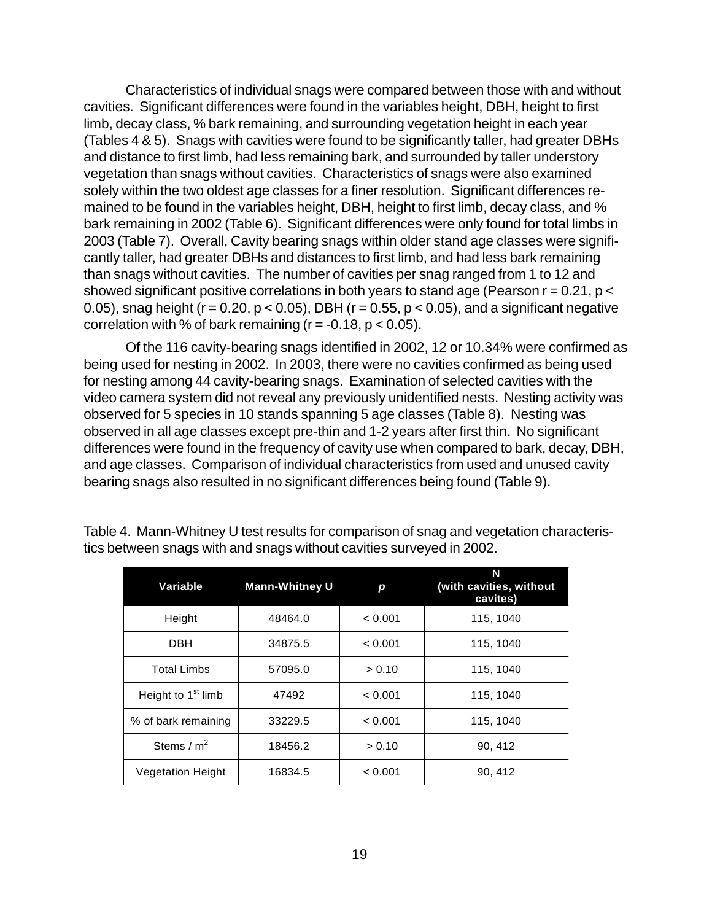Characteristics of individual snags were compared between those with and without cavities. Significant differences were found in the variables height, DBH, height to first limb, decay class, % bark remaining, and surrounding vegetation height in each year (Tables 4 & 5). Snags with cavities were found to be significantly taller, had greater DBHs and distance to first limb, had less remaining bark, and surrounded by taller understory vegetation than snags without cavities. Characteristics of snags were also examined solely within the two oldest age classes for a finer resolution. Significant differences remained to be found in the variables height, DBH, height to first limb, decay class, and % bark remaining in 2002 (Table 6). Significant differences were only found for total limbs in 2003 (Table 7). Overall, Cavity bearing snags within older stand age classes were significantly taller, had greater DBHs and distances to first limb, and had less bark remaining than snags without cavities. The number of cavities per snag ranged from 1 to 12 and showed significant positive correlations in both years to stand age (Pearson  $r = 0.21$ ,  $p <$ 0.05), snag height ( $r = 0.20$ ,  $p < 0.05$ ), DBH ( $r = 0.55$ ,  $p < 0.05$ ), and a significant negative correlation with % of bark remaining  $(r = -0.18, p < 0.05)$ .

Of the 116 cavity-bearing snags identified in 2002, 12 or 10.34% were confirmed as being used for nesting in 2002. In 2003, there were no cavities confirmed as being used for nesting among 44 cavity-bearing snags. Examination of selected cavities with the video camera system did not reveal any previously unidentified nests. Nesting activity was observed for 5 species in 10 stands spanning 5 age classes (Table 8). Nesting was observed in all age classes except pre-thin and 1-2 years after first thin. No significant differences were found in the frequency of cavity use when compared to bark, decay, DBH, and age classes. Comparison of individual characteristics from used and unused cavity bearing snags also resulted in no significant differences being found (Table 9).

| Variable                       | <b>Mann-Whitney U</b> | р       | N<br>(with cavities, without<br>cavites) |
|--------------------------------|-----------------------|---------|------------------------------------------|
| Height                         | 48464.0               | < 0.001 | 115, 1040                                |
| <b>DBH</b>                     | 34875.5               | < 0.001 | 115, 1040                                |
| <b>Total Limbs</b>             | 57095.0               | > 0.10  | 115, 1040                                |
| Height to 1 <sup>st</sup> limb | 47492                 | < 0.001 | 115, 1040                                |
| % of bark remaining            | 33229.5               | < 0.001 | 115, 1040                                |
| Stems / $m2$                   | 18456.2               | > 0.10  | 90, 412                                  |
| <b>Vegetation Height</b>       | 16834.5               | < 0.001 | 90, 412                                  |

Table 4. Mann-Whitney U test results for comparison of snag and vegetation characteristics between snags with and snags without cavities surveyed in 2002.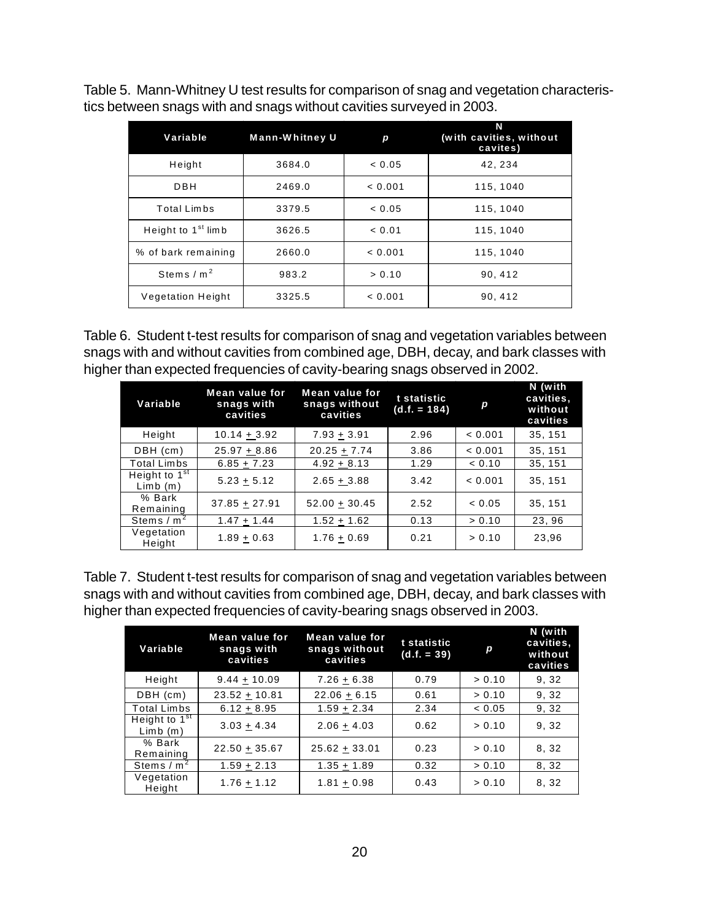Table 5. Mann-Whitney U test results for comparison of snag and vegetation characteristics between snags with and snags without cavities surveyed in 2003.

| Variable                       | Mann-Whitney U | р       | N<br>(with cavities, without<br>cavites) |
|--------------------------------|----------------|---------|------------------------------------------|
| Height                         | 3684.0         | < 0.05  | 42, 234                                  |
| DBH                            | 2469.0         | < 0.001 | 115, 1040                                |
| Total Limbs                    | 3379.5         | < 0.05  | 115, 1040                                |
| Height to 1 <sup>st</sup> limb | 3626.5         | < 0.01  | 115, 1040                                |
| % of bark remaining            | 2660.0         | < 0.001 | 115, 1040                                |
| Stems $/m2$                    | 983.2          | > 0.10  | 90, 412                                  |
| <b>Vegetation Height</b>       | 3325.5         | < 0.001 | 90, 412                                  |

Table 6. Student t-test results for comparison of snag and vegetation variables between snags with and without cavities from combined age, DBH, decay, and bark classes with higher than expected frequencies of cavity-bearing snags observed in 2002.

| Variable                   | Mean value for<br>snags with<br>cavities | Mean value for<br>snags without<br>cavities | t statistic<br>$(d.f. = 184)$ | p       | N (with<br>cavities,<br>without<br>cavities |
|----------------------------|------------------------------------------|---------------------------------------------|-------------------------------|---------|---------------------------------------------|
| Height                     | $10.14 + 3.92$                           | $7.93 + 3.91$                               | 2.96                          | < 0.001 | 35, 151                                     |
| DBH (cm)                   | $25.97 + 8.86$                           | $20.25 + 7.74$                              | 3.86                          | < 0.001 | 35, 151                                     |
| <b>Total Limbs</b>         | $6.85 + 7.23$                            | $4.92 + 8.13$                               | 1.29                          | < 0.10  | 35, 151                                     |
| Height to $1st$<br>Limb(m) | $5.23 + 5.12$                            | $2.65 + 3.88$                               | 3.42                          | < 0.001 | 35, 151                                     |
| % Bark<br>Remaining        | $37.85 + 27.91$                          | $52.00 + 30.45$                             | 2.52                          | < 0.05  | 35, 151                                     |
| Stems $/m2$                | $1.47 + 1.44$                            | $1.52 + 1.62$                               | 0.13                          | > 0.10  | 23, 96                                      |
| Vegetation<br>Height       | $1.89 + 0.63$                            | $1.76 + 0.69$                               | 0.21                          | > 0.10  | 23.96                                       |

| Table 7. Student t-test results for comparison of snag and vegetation variables between |
|-----------------------------------------------------------------------------------------|
| snags with and without cavities from combined age, DBH, decay, and bark classes with    |
| higher than expected frequencies of cavity-bearing snags observed in 2003.              |

| Variable                                    | <b>Mean value for</b><br>snags with<br>cavities | Mean value for<br>snags without<br>cavities | t statistic<br>$(d.f. = 39)$ | p      | N (with<br>cavities,<br>without<br>cavities |
|---------------------------------------------|-------------------------------------------------|---------------------------------------------|------------------------------|--------|---------------------------------------------|
| Height                                      | $9.44 + 10.09$                                  | $7.26 + 6.38$                               | 0.79                         | > 0.10 | 9, 32                                       |
| DBH (cm)                                    | $23.52 + 10.81$                                 | $22.06 + 6.15$                              | 0.61                         | > 0.10 | 9.32                                        |
| <b>Total Limbs</b>                          | $6.12 + 8.95$                                   | $1.59 + 2.34$                               | 2.34                         | < 0.05 | 9,32                                        |
| Height to $1^{\overline{st}}$<br>$Limb$ (m) | $3.03 + 4.34$                                   | $2.06 + 4.03$                               | 0.62                         | > 0.10 | 9.32                                        |
| % Bark<br>Remaining                         | $22.50 + 35.67$                                 | $25.62 + 33.01$                             | 0.23                         | > 0.10 | 8, 32                                       |
| Stems $/m2$                                 | $1.59 + 2.13$                                   | $1.35 + 1.89$                               | 0.32                         | > 0.10 | 8, 32                                       |
| Vegetation<br>Height                        | $1.76 + 1.12$                                   | $1.81 + 0.98$                               | 0.43                         | > 0.10 | 8, 32                                       |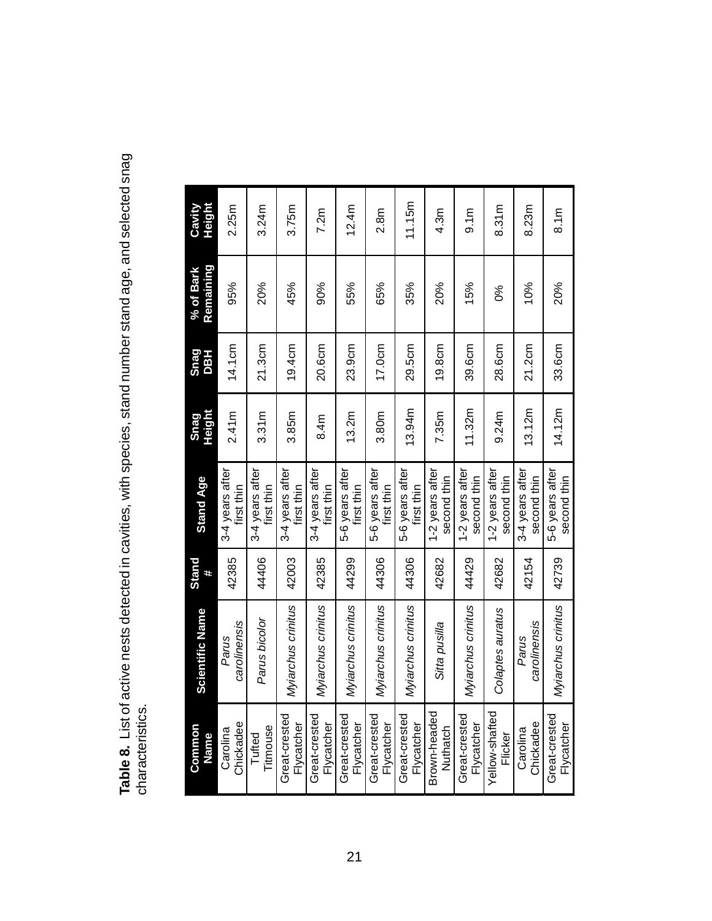Table 8. List of active nests detected in cavities, with species, stand number stand age, and selected snag<br>characteristics. **Table 8.** List of active nests detected in cavities, with species, stand number stand age, and selected snag characteristics.

| Common<br>Name              | <b>Scientific Name</b> | Stand<br># | <b>Stand Age</b>               | <b>Height</b><br><b>Snag</b> | <b>Shag</b><br><b>HSO</b> | Remaining<br>% of Bark | Height<br>Cavity |
|-----------------------------|------------------------|------------|--------------------------------|------------------------------|---------------------------|------------------------|------------------|
| Carolina<br>Chickadee       | carolinensis<br>Parus  | 42385      | 3-4 years after<br>first thin  | 2.41m                        | 14.1cm                    | 95%                    | 2.25m            |
| Titmouse<br>Tufted          | Parus bicolor          | 44406      | 3-4 years after<br>first thin  | 3.31m                        | 21.3cm                    | 20%                    | 3.24m            |
| Great-crested<br>Flycatcher | Myiarchus crinitus     | 42003      | 3-4 years after<br>first thin  | 3.85m                        | 19.4cm                    | 45%                    | 3.75m            |
| Great-crested<br>Flycatcher | Myiarchus crinitus     | 42385      | 3-4 years after<br>first thin  | 8.4m                         | 20.6cm                    | 90%                    | 7.2m             |
| Great-crested<br>Flycatcher | Myiarchus crinitus     | 44299      | 5-6 years after<br>first thin  | 13.2m                        | 23.9cm                    | 55%                    | 12.4m            |
| Great-crested<br>Flycatcher | Myiarchus crinitus     | 44306      | 5-6 years after<br>first thin  | 3.80m                        | 17.0cm                    | 65%                    | 2.8m             |
| Great-crested<br>Flycatcher | Myjarchus crinitus     | 44306      | 5-6 years after<br>first thin  | 13.94m                       | 29.5cm                    | 35%                    | 11.15m           |
| Brown-headed<br>Nuthatch    | Sitta pusilla          | 42682      | 1-2 years after<br>second thin | 7.35m                        | 19.8cm                    | 20%                    | 4.3 <sub>m</sub> |
| Great-crested<br>Flycatcher | Myiarchus crinitus     | 44429      | 1-2 years after<br>second thin | 11.32m                       | 39.6cm                    | 15%                    | 9.1m             |
| Yellow-shafted<br>Flicker   | Colaptes auratus       | 42682      | 1-2 years after<br>second thin | 9.24m                        | 28.6cm                    | ೦%                     | 8.31m            |
| Carolina<br>Chickadee       | carolinensis<br>Parus  | 42154      | 3-4 years after<br>second thin | 13.12m                       | 21.2cm                    | 10%                    | 8.23m            |
| Great-crested<br>Flycatcher | Myjarchus crinitus     | 42739      | 5-6 years after<br>second thin | 14.12m                       | 33.6cm                    | 20%                    | 8.1m             |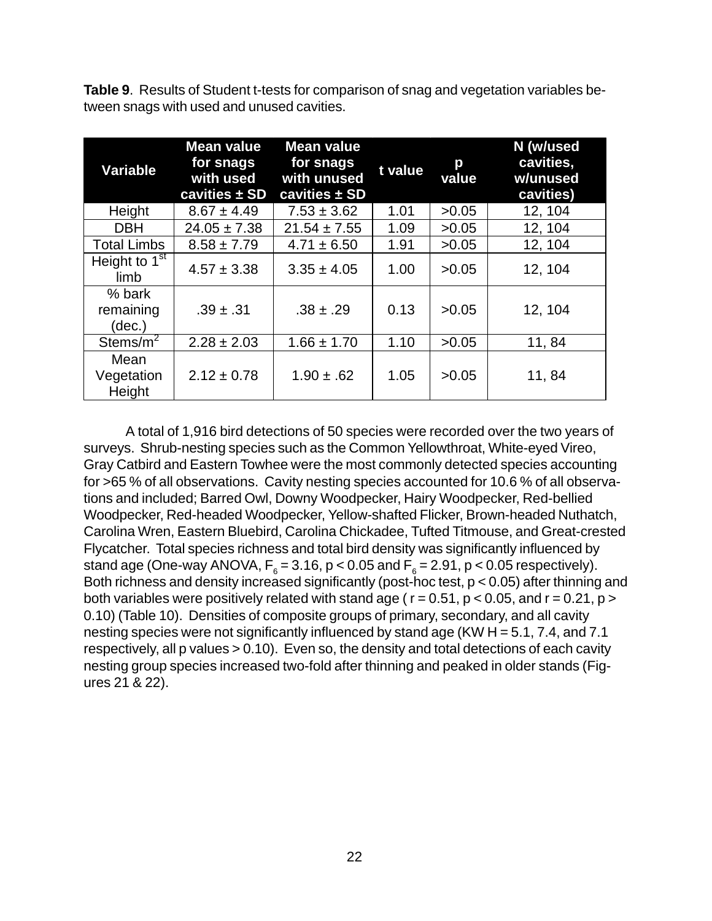**Table 9**. Results of Student t-tests for comparison of snag and vegetation variables between snags with used and unused cavities.

| Variable                      | <b>Mean value</b><br>for snags<br>with used<br>cavities $\pm$ SD | <b>Mean value</b><br>for snags<br>with unused<br>cavities ± SD | t value | p<br>value | N (w/used<br>cavities,<br>w/unused<br>cavities) |
|-------------------------------|------------------------------------------------------------------|----------------------------------------------------------------|---------|------------|-------------------------------------------------|
| Height                        | $8.67 \pm 4.49$                                                  | $7.53 \pm 3.62$                                                | 1.01    | >0.05      | 12, 104                                         |
| <b>DBH</b>                    | $24.05 \pm 7.38$                                                 | $21.54 \pm 7.55$                                               | 1.09    | >0.05      | 12, 104                                         |
| <b>Total Limbs</b>            | $8.58 \pm 7.79$                                                  | $4.71 \pm 6.50$                                                | 1.91    | >0.05      | 12, 104                                         |
| Height to $1st$<br>limb       | $4.57 \pm 3.38$                                                  | $3.35 \pm 4.05$                                                | 1.00    | >0.05      | 12, 104                                         |
| % bark<br>remaining<br>(dec.) | $.39 \pm .31$                                                    | $.38 \pm .29$                                                  | 0.13    | >0.05      | 12, 104                                         |
| Stems/ $m^2$                  | $2.28 \pm 2.03$                                                  | $1.66 \pm 1.70$                                                | 1.10    | >0.05      | 11,84                                           |
| Mean<br>Vegetation<br>Height  | $2.12 \pm 0.78$                                                  | $1.90 \pm .62$                                                 | 1.05    | >0.05      | 11,84                                           |

A total of 1,916 bird detections of 50 species were recorded over the two years of surveys. Shrub-nesting species such as the Common Yellowthroat, White-eyed Vireo, Gray Catbird and Eastern Towhee were the most commonly detected species accounting for >65 % of all observations. Cavity nesting species accounted for 10.6 % of all observations and included; Barred Owl, Downy Woodpecker, Hairy Woodpecker, Red-bellied Woodpecker, Red-headed Woodpecker, Yellow-shafted Flicker, Brown-headed Nuthatch, Carolina Wren, Eastern Bluebird, Carolina Chickadee, Tufted Titmouse, and Great-crested Flycatcher. Total species richness and total bird density was significantly influenced by stand age (One-way ANOVA,  $\mathsf{F}_6^{\vphantom{1}}$  = 3.16, p < 0.05 and  $\mathsf{F}_6^{\vphantom{1}}$  = 2.91, p < 0.05 respectively). Both richness and density increased significantly (post-hoc test,  $p < 0.05$ ) after thinning and both variables were positively related with stand age ( $r = 0.51$ ,  $p < 0.05$ , and  $r = 0.21$ ,  $p >$ 0.10) (Table 10). Densities of composite groups of primary, secondary, and all cavity nesting species were not significantly influenced by stand age (KW H = 5.1, 7.4, and 7.1 respectively, all p values > 0.10). Even so, the density and total detections of each cavity nesting group species increased two-fold after thinning and peaked in older stands (Figures 21 & 22).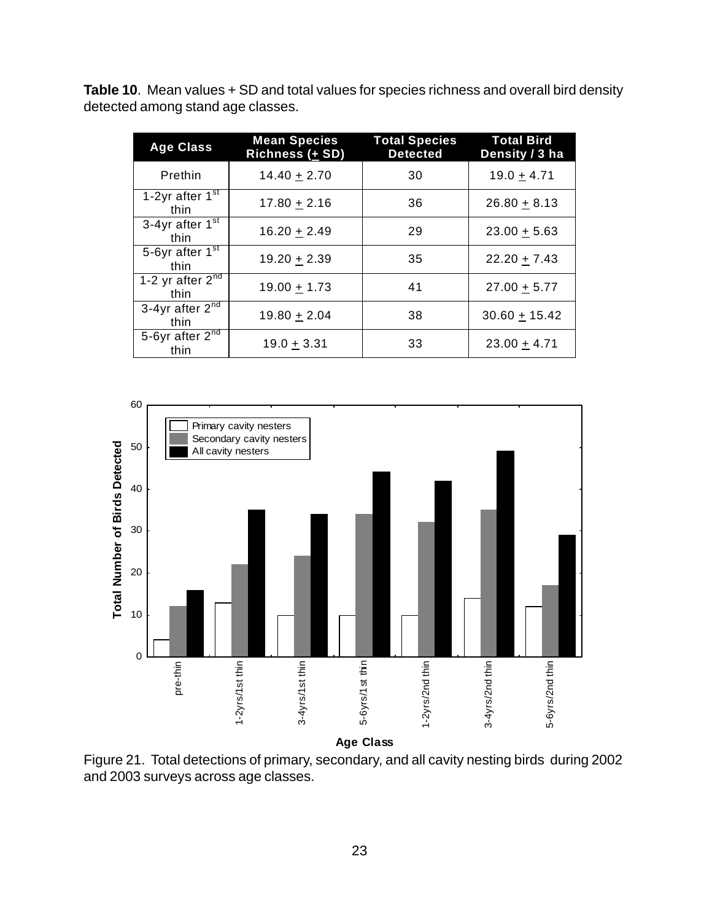**Table 10**. Mean values + SD and total values for species richness and overall bird density detected among stand age classes.

| <b>Age Class</b>                                    | <b>Mean Species</b><br>Richness (+ SD) | <b>Total Species</b><br><b>Detected</b> | <b>Total Bird</b><br>Density / 3 ha |
|-----------------------------------------------------|----------------------------------------|-----------------------------------------|-------------------------------------|
| Prethin                                             | $14.40 + 2.70$                         | 30                                      | $19.0 + 4.71$                       |
| 1-2yr after $1st$<br>thin                           | $17.80 + 2.16$                         | 36                                      | $26.80 + 8.13$                      |
| 3-4yr after $1st$<br>thin                           | $16.20 + 2.49$                         | 29                                      | $23.00 + 5.63$                      |
| 5-6yr after 1 <sup>st</sup><br>thin                 | $19.20 + 2.39$                         | 35                                      | $22.20 + 7.43$                      |
| 1-2 yr after $2^{\overline{n}\overline{d}}$<br>thin | $19.00 + 1.73$                         | 41                                      | $27.00 + 5.77$                      |
| 3-4yr after $2^{\overline{n}\overline{d}}$<br>thin  | $19.80 + 2.04$                         | 38                                      | $30.60 + 15.42$                     |
| 5-6yr after 2 <sup>nd</sup><br>thin                 | $19.0 + 3.31$                          | 33                                      | $23.00 + 4.71$                      |

![](_page_28_Figure_2.jpeg)

**Age Class**

Figure 21. Total detections of primary, secondary, and all cavity nesting birds during 2002 and 2003 surveys across age classes.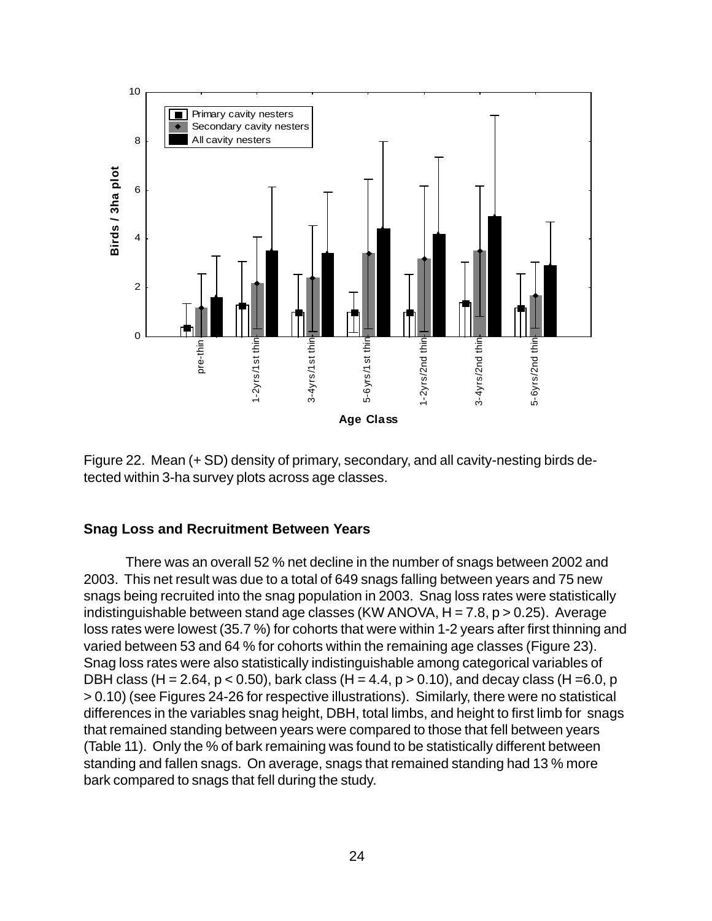![](_page_29_Figure_0.jpeg)

Figure 22. Mean (+ SD) density of primary, secondary, and all cavity-nesting birds detected within 3-ha survey plots across age classes.

#### **Snag Loss and Recruitment Between Years**

There was an overall 52 % net decline in the number of snags between 2002 and 2003. This net result was due to a total of 649 snags falling between years and 75 new snags being recruited into the snag population in 2003. Snag loss rates were statistically indistinguishable between stand age classes (KW ANOVA,  $H = 7.8$ ,  $p > 0.25$ ). Average loss rates were lowest (35.7 %) for cohorts that were within 1-2 years after first thinning and varied between 53 and 64 % for cohorts within the remaining age classes (Figure 23). Snag loss rates were also statistically indistinguishable among categorical variables of DBH class (H = 2.64, p < 0.50), bark class (H = 4.4, p > 0.10), and decay class (H = 6.0, p > 0.10) (see Figures 24-26 for respective illustrations). Similarly, there were no statistical differences in the variables snag height, DBH, total limbs, and height to first limb for snags that remained standing between years were compared to those that fell between years (Table 11). Only the % of bark remaining was found to be statistically different between standing and fallen snags. On average, snags that remained standing had 13 % more bark compared to snags that fell during the study.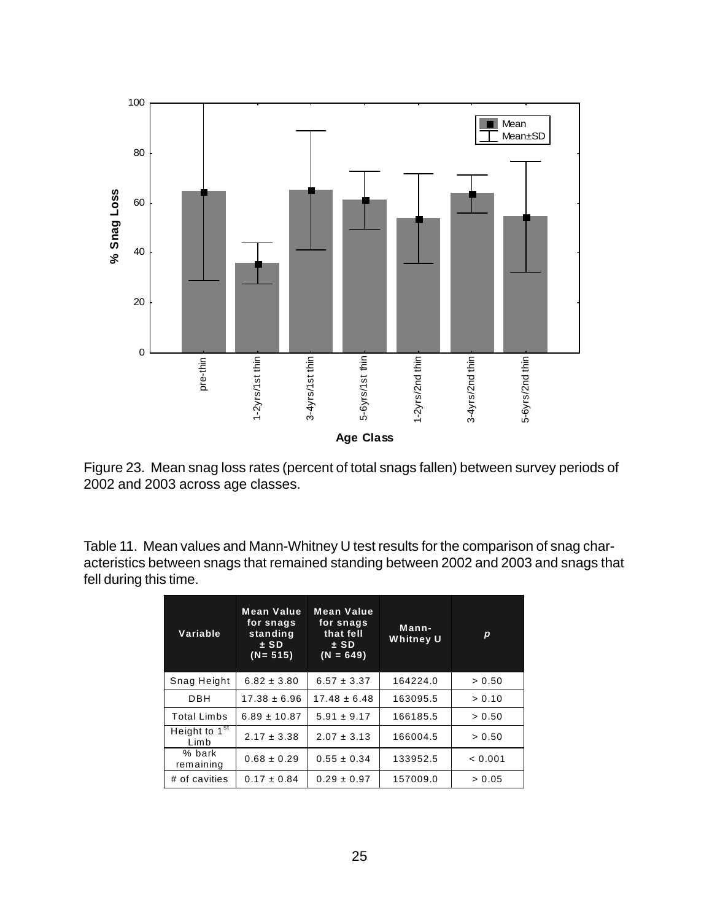![](_page_30_Figure_0.jpeg)

Figure 23. Mean snag loss rates (percent of total snags fallen) between survey periods of 2002 and 2003 across age classes.

Table 11. Mean values and Mann-Whitney U test results for the comparison of snag characteristics between snags that remained standing between 2002 and 2003 and snags that fell during this time.

| Variable                          | <b>Mean Value</b><br>for snags<br>standing<br>$±$ SD<br>$(N = 515)$ | <b>Mean Value</b><br>for snags<br>that fell<br>$±$ SD<br>$(N = 649)$ | Mann-<br><b>Whitney U</b> | p       |  |
|-----------------------------------|---------------------------------------------------------------------|----------------------------------------------------------------------|---------------------------|---------|--|
| Snag Height                       | $6.82 \pm 3.80$                                                     | $6.57 \pm 3.37$                                                      | 164224.0                  | > 0.50  |  |
| DBH                               | $17.38 \pm 6.96$                                                    | $17.48 \pm 6.48$                                                     | 163095.5                  | > 0.10  |  |
| <b>Total Limbs</b>                | $6.89 \pm 10.87$                                                    | $5.91 \pm 9.17$                                                      | 166185.5                  | > 0.50  |  |
| Height to 1 <sup>st</sup><br>Limb | $2.17 \pm 3.38$                                                     | $2.07 \pm 3.13$                                                      | 166004.5                  | > 0.50  |  |
| % bark<br>remaining               | $0.68 \pm 0.29$                                                     | $0.55 \pm 0.34$                                                      | 133952.5                  | < 0.001 |  |
| # of cavities                     | $0.17 \pm 0.84$                                                     | $0.29 \pm 0.97$                                                      | 157009.0                  | > 0.05  |  |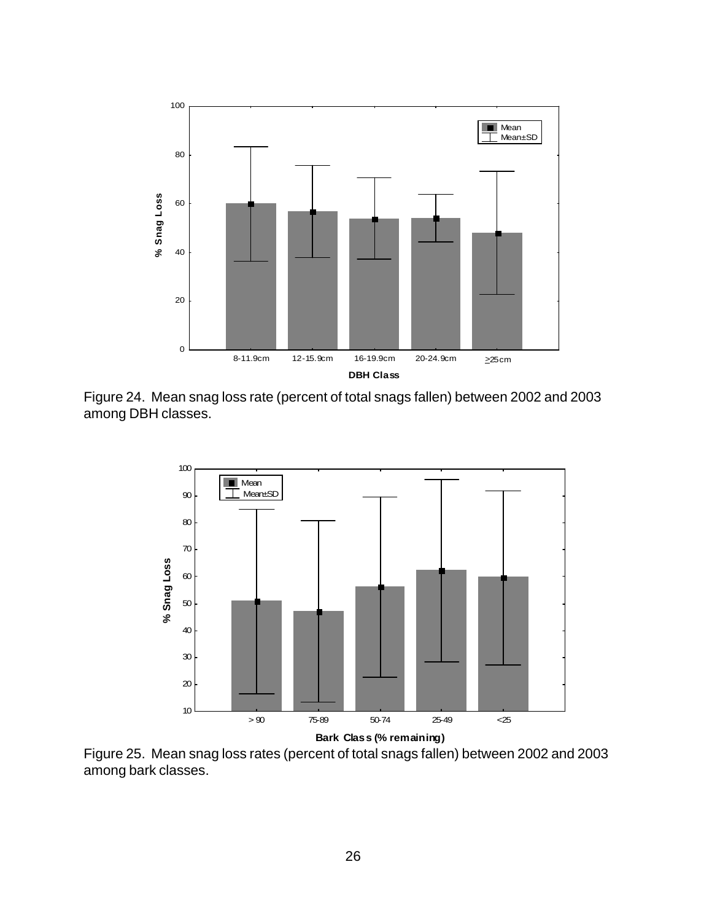![](_page_31_Figure_0.jpeg)

Figure 24. Mean snag loss rate (percent of total snags fallen) between 2002 and 2003 among DBH classes.

![](_page_31_Figure_2.jpeg)

Figure 25. Mean snag loss rates (percent of total snags fallen) between 2002 and 2003 among bark classes.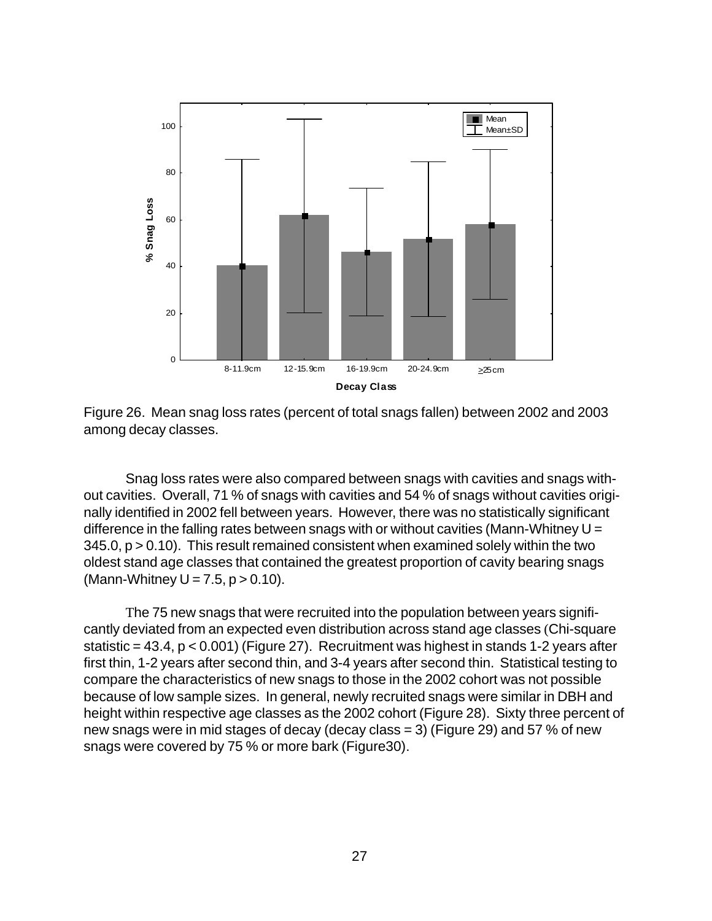![](_page_32_Figure_0.jpeg)

Figure 26. Mean snag loss rates (percent of total snags fallen) between 2002 and 2003 among decay classes.

Snag loss rates were also compared between snags with cavities and snags without cavities. Overall, 71 % of snags with cavities and 54 % of snags without cavities originally identified in 2002 fell between years. However, there was no statistically significant difference in the falling rates between snags with or without cavities (Mann-Whitney  $U =$ 345.0, p > 0.10). This result remained consistent when examined solely within the two oldest stand age classes that contained the greatest proportion of cavity bearing snags (Mann-Whitney  $U = 7.5$ ,  $p > 0.10$ ).

The 75 new snags that were recruited into the population between years significantly deviated from an expected even distribution across stand age classes (Chi-square statistic =  $43.4$ ,  $p < 0.001$ ) (Figure 27). Recruitment was highest in stands 1-2 years after first thin, 1-2 years after second thin, and 3-4 years after second thin. Statistical testing to compare the characteristics of new snags to those in the 2002 cohort was not possible because of low sample sizes. In general, newly recruited snags were similar in DBH and height within respective age classes as the 2002 cohort (Figure 28). Sixty three percent of new snags were in mid stages of decay (decay class = 3) (Figure 29) and 57 % of new snags were covered by 75 % or more bark (Figure30).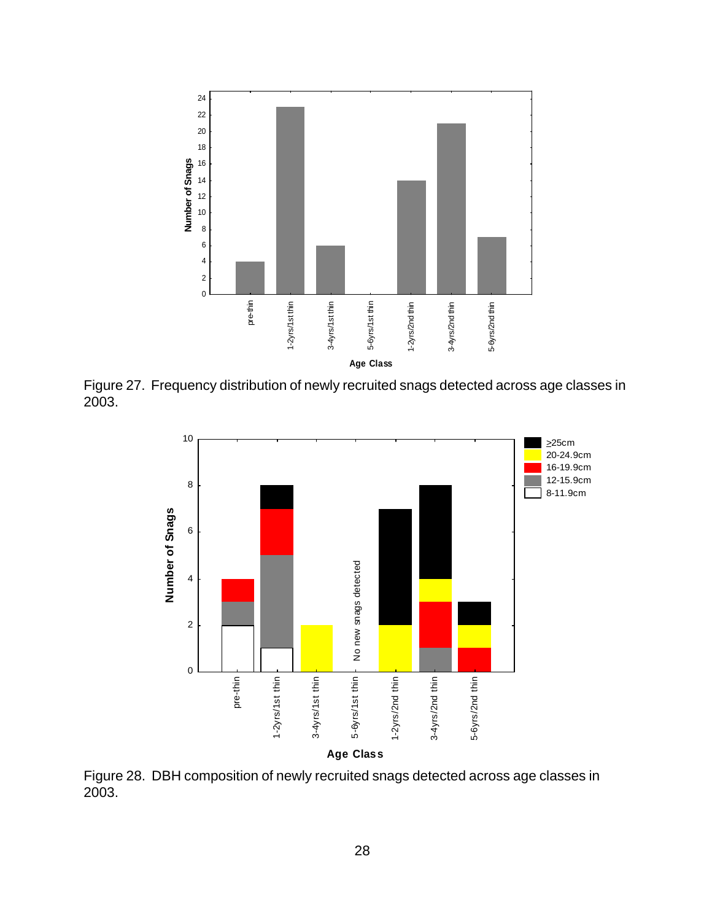![](_page_33_Figure_0.jpeg)

Figure 27. Frequency distribution of newly recruited snags detected across age classes in 2003.

![](_page_33_Figure_2.jpeg)

Figure 28. DBH composition of newly recruited snags detected across age classes in 2003.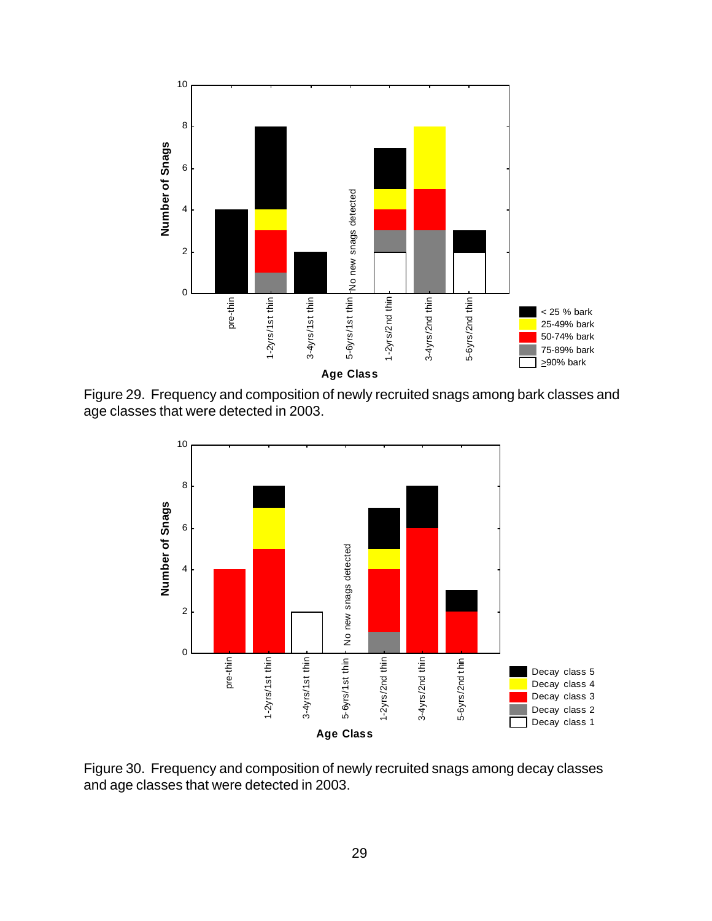![](_page_34_Figure_0.jpeg)

Figure 29. Frequency and composition of newly recruited snags among bark classes and age classes that were detected in 2003.

![](_page_34_Figure_2.jpeg)

Figure 30. Frequency and composition of newly recruited snags among decay classes and age classes that were detected in 2003.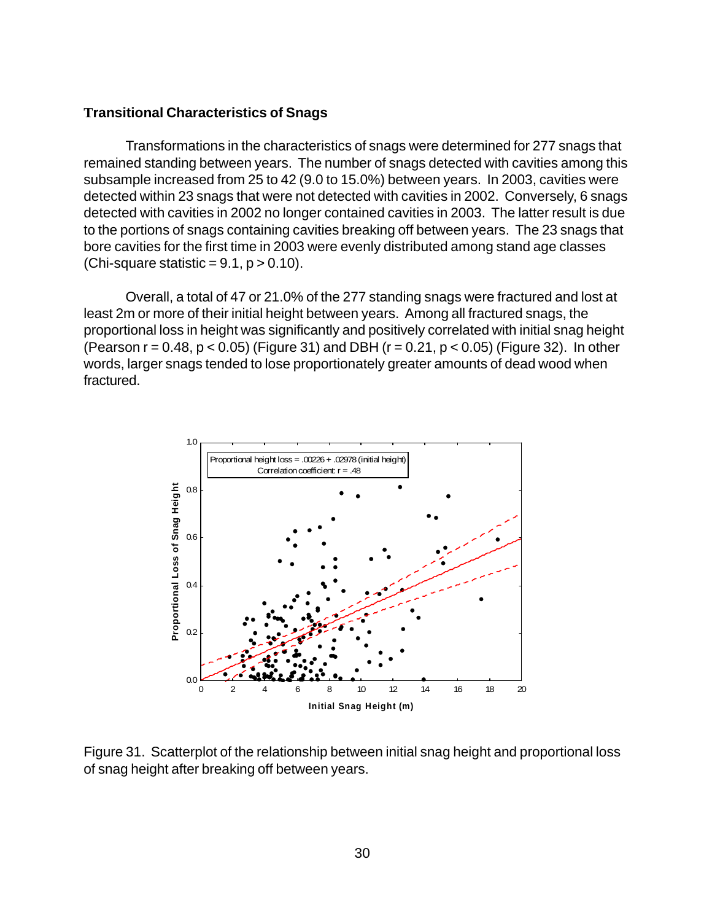#### **Transitional Characteristics of Snags**

Transformations in the characteristics of snags were determined for 277 snags that remained standing between years. The number of snags detected with cavities among this subsample increased from 25 to 42 (9.0 to 15.0%) between years. In 2003, cavities were detected within 23 snags that were not detected with cavities in 2002. Conversely, 6 snags detected with cavities in 2002 no longer contained cavities in 2003. The latter result is due to the portions of snags containing cavities breaking off between years. The 23 snags that bore cavities for the first time in 2003 were evenly distributed among stand age classes (Chi-square statistic =  $9.1$ ,  $p > 0.10$ ).

Overall, a total of 47 or 21.0% of the 277 standing snags were fractured and lost at least 2m or more of their initial height between years. Among all fractured snags, the proportional loss in height was significantly and positively correlated with initial snag height (Pearson  $r = 0.48$ ,  $p < 0.05$ ) (Figure 31) and DBH ( $r = 0.21$ ,  $p < 0.05$ ) (Figure 32). In other words, larger snags tended to lose proportionately greater amounts of dead wood when fractured.

![](_page_35_Figure_3.jpeg)

Figure 31. Scatterplot of the relationship between initial snag height and proportional loss of snag height after breaking off between years.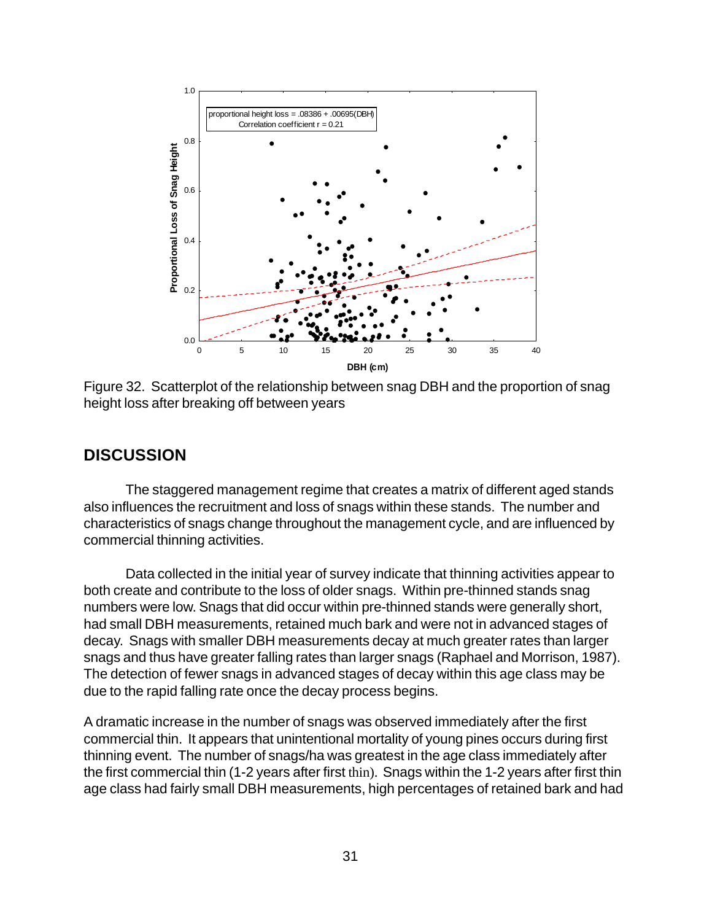![](_page_36_Figure_0.jpeg)

Figure 32. Scatterplot of the relationship between snag DBH and the proportion of snag height loss after breaking off between years

### **DISCUSSION**

The staggered management regime that creates a matrix of different aged stands also influences the recruitment and loss of snags within these stands. The number and characteristics of snags change throughout the management cycle, and are influenced by commercial thinning activities.

Data collected in the initial year of survey indicate that thinning activities appear to both create and contribute to the loss of older snags. Within pre-thinned stands snag numbers were low. Snags that did occur within pre-thinned stands were generally short, had small DBH measurements, retained much bark and were not in advanced stages of decay. Snags with smaller DBH measurements decay at much greater rates than larger snags and thus have greater falling rates than larger snags (Raphael and Morrison, 1987). The detection of fewer snags in advanced stages of decay within this age class may be due to the rapid falling rate once the decay process begins.

A dramatic increase in the number of snags was observed immediately after the first commercial thin. It appears that unintentional mortality of young pines occurs during first thinning event. The number of snags/ha was greatest in the age class immediately after the first commercial thin (1-2 years after first thin). Snags within the 1-2 years after first thin age class had fairly small DBH measurements, high percentages of retained bark and had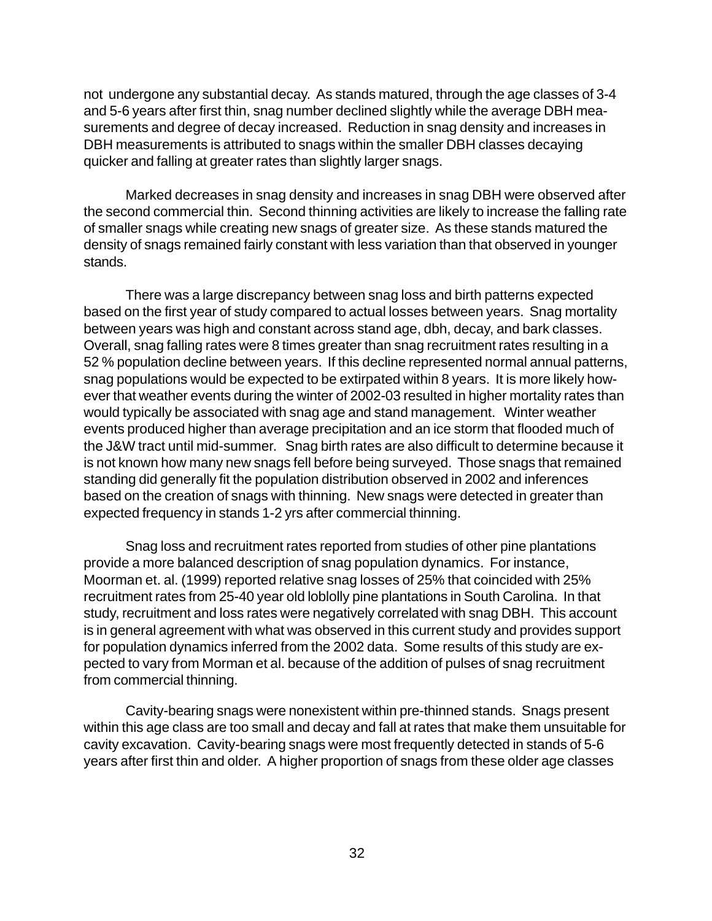not undergone any substantial decay. As stands matured, through the age classes of 3-4 and 5-6 years after first thin, snag number declined slightly while the average DBH measurements and degree of decay increased. Reduction in snag density and increases in DBH measurements is attributed to snags within the smaller DBH classes decaying quicker and falling at greater rates than slightly larger snags.

Marked decreases in snag density and increases in snag DBH were observed after the second commercial thin. Second thinning activities are likely to increase the falling rate of smaller snags while creating new snags of greater size. As these stands matured the density of snags remained fairly constant with less variation than that observed in younger stands.

There was a large discrepancy between snag loss and birth patterns expected based on the first year of study compared to actual losses between years. Snag mortality between years was high and constant across stand age, dbh, decay, and bark classes. Overall, snag falling rates were 8 times greater than snag recruitment rates resulting in a 52 % population decline between years. If this decline represented normal annual patterns, snag populations would be expected to be extirpated within 8 years. It is more likely however that weather events during the winter of 2002-03 resulted in higher mortality rates than would typically be associated with snag age and stand management. Winter weather events produced higher than average precipitation and an ice storm that flooded much of the J&W tract until mid-summer. Snag birth rates are also difficult to determine because it is not known how many new snags fell before being surveyed. Those snags that remained standing did generally fit the population distribution observed in 2002 and inferences based on the creation of snags with thinning. New snags were detected in greater than expected frequency in stands 1-2 yrs after commercial thinning.

Snag loss and recruitment rates reported from studies of other pine plantations provide a more balanced description of snag population dynamics. For instance, Moorman et. al. (1999) reported relative snag losses of 25% that coincided with 25% recruitment rates from 25-40 year old loblolly pine plantations in South Carolina. In that study, recruitment and loss rates were negatively correlated with snag DBH. This account is in general agreement with what was observed in this current study and provides support for population dynamics inferred from the 2002 data. Some results of this study are expected to vary from Morman et al. because of the addition of pulses of snag recruitment from commercial thinning.

Cavity-bearing snags were nonexistent within pre-thinned stands. Snags present within this age class are too small and decay and fall at rates that make them unsuitable for cavity excavation. Cavity-bearing snags were most frequently detected in stands of 5-6 years after first thin and older. A higher proportion of snags from these older age classes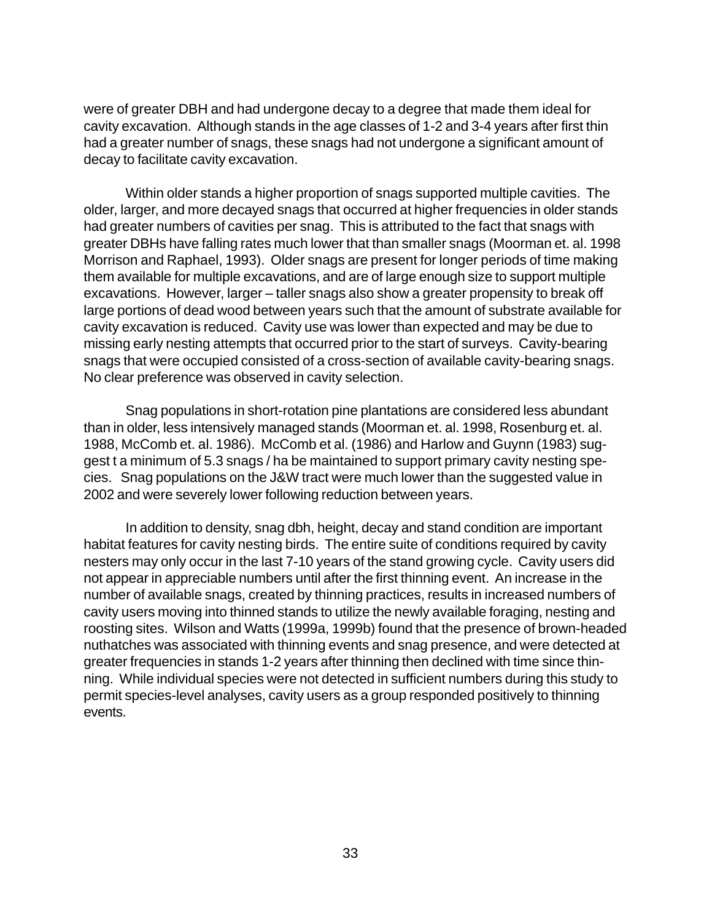were of greater DBH and had undergone decay to a degree that made them ideal for cavity excavation. Although stands in the age classes of 1-2 and 3-4 years after first thin had a greater number of snags, these snags had not undergone a significant amount of decay to facilitate cavity excavation.

Within older stands a higher proportion of snags supported multiple cavities. The older, larger, and more decayed snags that occurred at higher frequencies in older stands had greater numbers of cavities per snag. This is attributed to the fact that snags with greater DBHs have falling rates much lower that than smaller snags (Moorman et. al. 1998 Morrison and Raphael, 1993). Older snags are present for longer periods of time making them available for multiple excavations, and are of large enough size to support multiple excavations. However, larger – taller snags also show a greater propensity to break off large portions of dead wood between years such that the amount of substrate available for cavity excavation is reduced. Cavity use was lower than expected and may be due to missing early nesting attempts that occurred prior to the start of surveys. Cavity-bearing snags that were occupied consisted of a cross-section of available cavity-bearing snags. No clear preference was observed in cavity selection.

Snag populations in short-rotation pine plantations are considered less abundant than in older, less intensively managed stands (Moorman et. al. 1998, Rosenburg et. al. 1988, McComb et. al. 1986). McComb et al. (1986) and Harlow and Guynn (1983) suggest t a minimum of 5.3 snags / ha be maintained to support primary cavity nesting species. Snag populations on the J&W tract were much lower than the suggested value in 2002 and were severely lower following reduction between years.

In addition to density, snag dbh, height, decay and stand condition are important habitat features for cavity nesting birds. The entire suite of conditions required by cavity nesters may only occur in the last 7-10 years of the stand growing cycle. Cavity users did not appear in appreciable numbers until after the first thinning event. An increase in the number of available snags, created by thinning practices, results in increased numbers of cavity users moving into thinned stands to utilize the newly available foraging, nesting and roosting sites. Wilson and Watts (1999a, 1999b) found that the presence of brown-headed nuthatches was associated with thinning events and snag presence, and were detected at greater frequencies in stands 1-2 years after thinning then declined with time since thinning. While individual species were not detected in sufficient numbers during this study to permit species-level analyses, cavity users as a group responded positively to thinning events.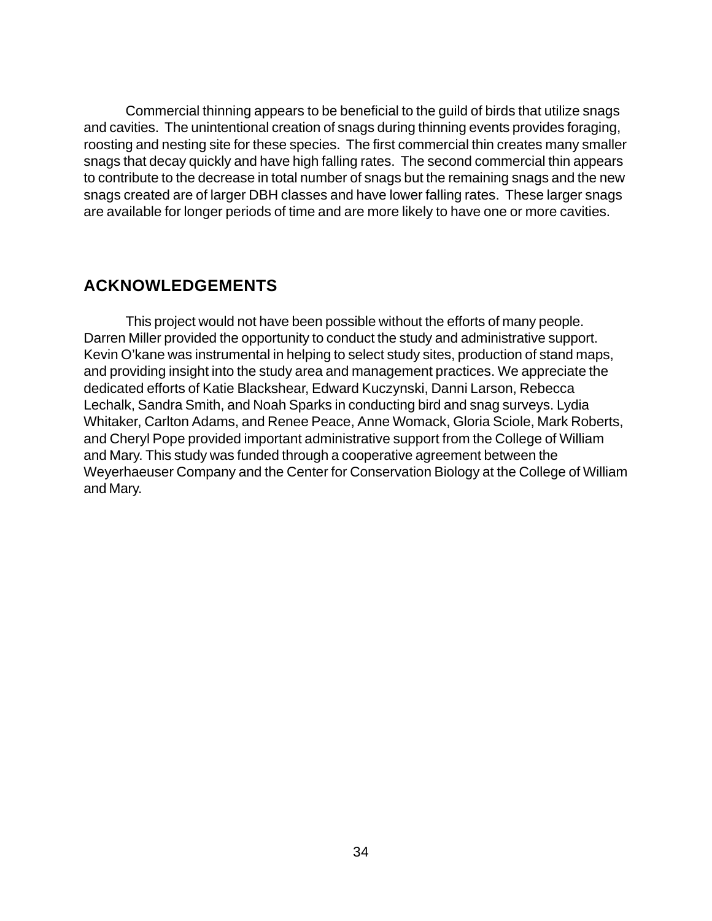Commercial thinning appears to be beneficial to the guild of birds that utilize snags and cavities. The unintentional creation of snags during thinning events provides foraging, roosting and nesting site for these species. The first commercial thin creates many smaller snags that decay quickly and have high falling rates. The second commercial thin appears to contribute to the decrease in total number of snags but the remaining snags and the new snags created are of larger DBH classes and have lower falling rates. These larger snags are available for longer periods of time and are more likely to have one or more cavities.

### **ACKNOWLEDGEMENTS**

This project would not have been possible without the efforts of many people. Darren Miller provided the opportunity to conduct the study and administrative support. Kevin O'kane was instrumental in helping to select study sites, production of stand maps, and providing insight into the study area and management practices. We appreciate the dedicated efforts of Katie Blackshear, Edward Kuczynski, Danni Larson, Rebecca Lechalk, Sandra Smith, and Noah Sparks in conducting bird and snag surveys. Lydia Whitaker, Carlton Adams, and Renee Peace, Anne Womack, Gloria Sciole, Mark Roberts, and Cheryl Pope provided important administrative support from the College of William and Mary. This study was funded through a cooperative agreement between the Weyerhaeuser Company and the Center for Conservation Biology at the College of William and Mary.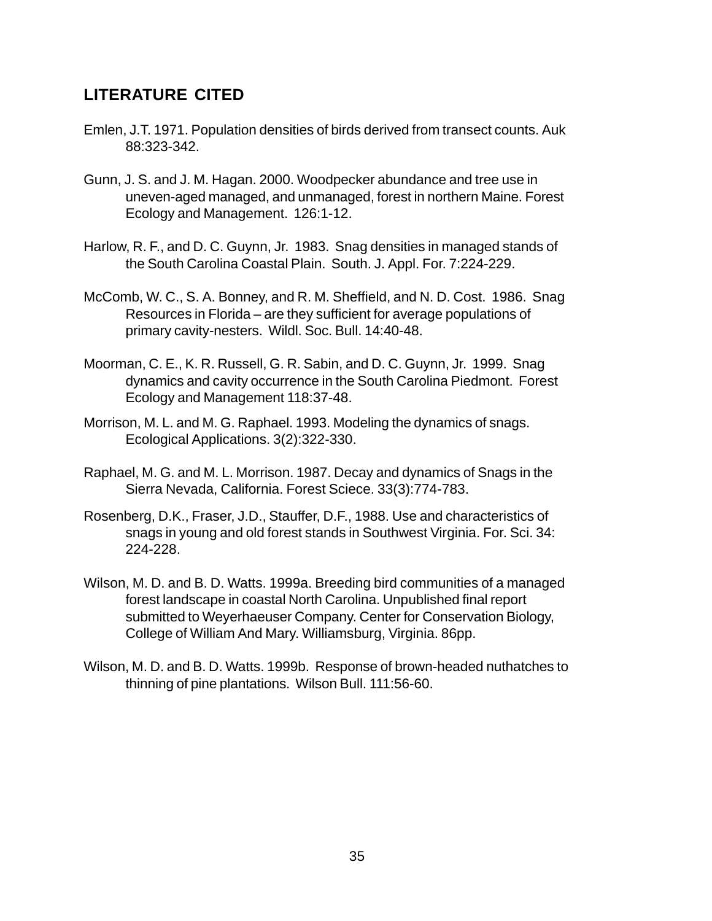# **LITERATURE CITED**

- Emlen, J.T. 1971. Population densities of birds derived from transect counts. Auk 88:323-342.
- Gunn, J. S. and J. M. Hagan. 2000. Woodpecker abundance and tree use in uneven-aged managed, and unmanaged, forest in northern Maine. Forest Ecology and Management. 126:1-12.
- Harlow, R. F., and D. C. Guynn, Jr. 1983. Snag densities in managed stands of the South Carolina Coastal Plain. South. J. Appl. For. 7:224-229.
- McComb, W. C., S. A. Bonney, and R. M. Sheffield, and N. D. Cost. 1986. Snag Resources in Florida – are they sufficient for average populations of primary cavity-nesters. Wildl. Soc. Bull. 14:40-48.
- Moorman, C. E., K. R. Russell, G. R. Sabin, and D. C. Guynn, Jr. 1999. Snag dynamics and cavity occurrence in the South Carolina Piedmont. Forest Ecology and Management 118:37-48.
- Morrison, M. L. and M. G. Raphael. 1993. Modeling the dynamics of snags. Ecological Applications. 3(2):322-330.
- Raphael, M. G. and M. L. Morrison. 1987. Decay and dynamics of Snags in the Sierra Nevada, California. Forest Sciece. 33(3):774-783.
- Rosenberg, D.K., Fraser, J.D., Stauffer, D.F., 1988. Use and characteristics of snags in young and old forest stands in Southwest Virginia. For. Sci. 34: 224-228.
- Wilson, M. D. and B. D. Watts. 1999a. Breeding bird communities of a managed forest landscape in coastal North Carolina. Unpublished final report submitted to Weyerhaeuser Company. Center for Conservation Biology, College of William And Mary. Williamsburg, Virginia. 86pp.
- Wilson, M. D. and B. D. Watts. 1999b. Response of brown-headed nuthatches to thinning of pine plantations. Wilson Bull. 111:56-60.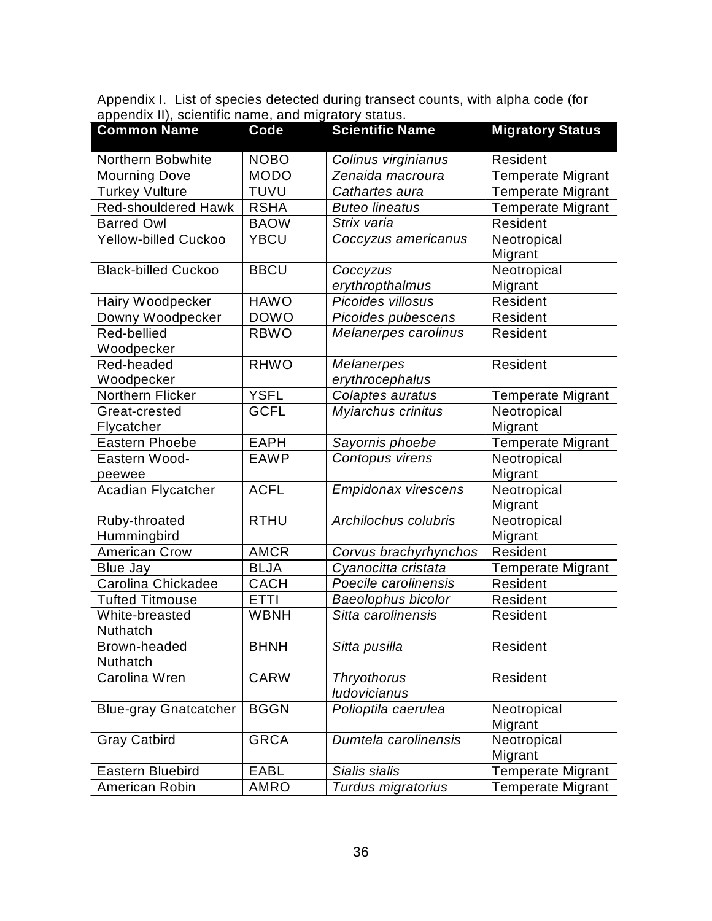| <b>Common Name</b>           | Code        | <b>Scientific Name</b>                    | <b>Migratory Status</b>  |
|------------------------------|-------------|-------------------------------------------|--------------------------|
| Northern Bobwhite            | <b>NOBO</b> | Colinus virginianus                       | Resident                 |
| <b>Mourning Dove</b>         | <b>MODO</b> | Zenaida macroura                          | <b>Temperate Migrant</b> |
| <b>Turkey Vulture</b>        | <b>TUVU</b> | Cathartes aura                            | <b>Temperate Migrant</b> |
| <b>Red-shouldered Hawk</b>   | <b>RSHA</b> | <b>Buteo lineatus</b>                     | <b>Temperate Migrant</b> |
| <b>Barred Owl</b>            | <b>BAOW</b> | Strix varia                               | Resident                 |
| Yellow-billed Cuckoo         | <b>YBCU</b> | Coccyzus americanus                       | Neotropical<br>Migrant   |
| <b>Black-billed Cuckoo</b>   | <b>BBCU</b> | Coccyzus<br>erythropthalmus               | Neotropical<br>Migrant   |
| Hairy Woodpecker             | <b>HAWO</b> | Picoides villosus                         | Resident                 |
| Downy Woodpecker             | <b>DOWO</b> | Picoides pubescens                        | Resident                 |
| Red-bellied<br>Woodpecker    | <b>RBWO</b> | Melanerpes carolinus                      | Resident                 |
| Red-headed<br>Woodpecker     | <b>RHWO</b> | <b>Melanerpes</b><br>erythrocephalus      | Resident                 |
| Northern Flicker             | <b>YSFL</b> | Colaptes auratus                          | <b>Temperate Migrant</b> |
| Great-crested<br>Flycatcher  | <b>GCFL</b> | Myiarchus crinitus                        | Neotropical<br>Migrant   |
| <b>Eastern Phoebe</b>        | <b>EAPH</b> | Sayornis phoebe                           | <b>Temperate Migrant</b> |
| Eastern Wood-<br>peewee      | <b>EAWP</b> | Contopus virens                           | Neotropical<br>Migrant   |
| <b>Acadian Flycatcher</b>    | <b>ACFL</b> | <b>Empidonax virescens</b>                | Neotropical<br>Migrant   |
| Ruby-throated<br>Hummingbird | <b>RTHU</b> | Archilochus colubris                      | Neotropical<br>Migrant   |
| <b>American Crow</b>         | <b>AMCR</b> | Corvus brachyrhynchos                     | Resident                 |
| <b>Blue Jay</b>              | <b>BLJA</b> | Cyanocitta cristata                       | <b>Temperate Migrant</b> |
| Carolina Chickadee           | <b>CACH</b> | Poecile carolinensis                      | Resident                 |
| <b>Tufted Titmouse</b>       | <b>ETTI</b> | Baeolophus bicolor                        | Resident                 |
| White-breasted<br>Nuthatch   | <b>WBNH</b> | Sitta carolinensis                        | Resident                 |
| Brown-headed<br>Nuthatch     | <b>BHNH</b> | Sitta pusilla                             | Resident                 |
| Carolina Wren                | <b>CARW</b> | <b>Thryothorus</b><br><b>ludovicianus</b> | Resident                 |
| <b>Blue-gray Gnatcatcher</b> | <b>BGGN</b> | Polioptila caerulea                       | Neotropical<br>Migrant   |
| <b>Gray Catbird</b>          | <b>GRCA</b> | Dumtela carolinensis                      | Neotropical<br>Migrant   |
| Eastern Bluebird             | <b>EABL</b> | Sialis sialis                             | <b>Temperate Migrant</b> |
| American Robin               | <b>AMRO</b> | Turdus migratorius                        | <b>Temperate Migrant</b> |

Appendix I. List of species detected during transect counts, with alpha code (for appendix II), scientific name, and migratory status.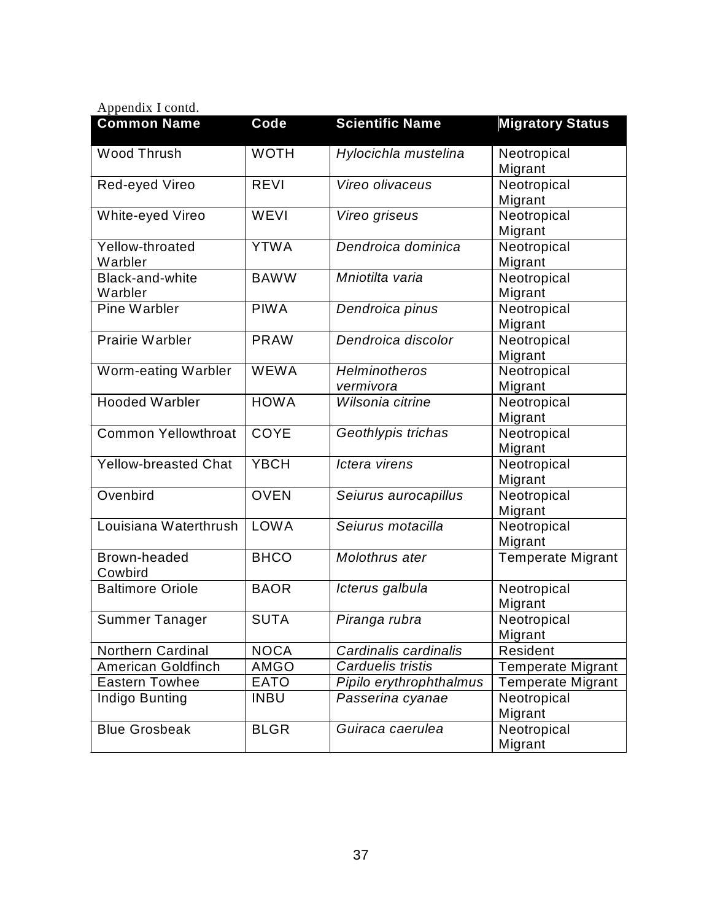| Appendix I contd.           |             |                         |                          |
|-----------------------------|-------------|-------------------------|--------------------------|
| <b>Common Name</b>          | Code        | <b>Scientific Name</b>  | <b>Migratory Status</b>  |
| Wood Thrush                 | <b>WOTH</b> | Hylocichla mustelina    | Neotropical              |
|                             |             |                         | Migrant                  |
| Red-eyed Vireo              | <b>REVI</b> | Vireo olivaceus         | Neotropical              |
|                             |             |                         | Migrant                  |
| White-eyed Vireo            | WEVI        | Vireo griseus           | Neotropical              |
|                             |             |                         | Migrant                  |
| Yellow-throated             | <b>YTWA</b> | Dendroica dominica      | Neotropical              |
| Warbler                     |             |                         | Migrant                  |
| Black-and-white             | <b>BAWW</b> | Mniotilta varia         | Neotropical              |
| Warbler                     |             |                         | Migrant                  |
| Pine Warbler                | <b>PIWA</b> | Dendroica pinus         | Neotropical              |
|                             |             |                         | Migrant                  |
| <b>Prairie Warbler</b>      | <b>PRAW</b> | Dendroica discolor      | Neotropical              |
|                             |             |                         | Migrant                  |
| Worm-eating Warbler         | <b>WEWA</b> | <b>Helminotheros</b>    | Neotropical              |
|                             |             | vermivora               | Migrant                  |
| <b>Hooded Warbler</b>       | <b>HOWA</b> | Wilsonia citrine        | Neotropical              |
| <b>Common Yellowthroat</b>  | <b>COYE</b> |                         | Migrant                  |
|                             |             | Geothlypis trichas      | Neotropical              |
| <b>Yellow-breasted Chat</b> | <b>YBCH</b> | Ictera virens           | Migrant<br>Neotropical   |
|                             |             |                         | Migrant                  |
| Ovenbird                    | <b>OVEN</b> | Seiurus aurocapillus    | Neotropical              |
|                             |             |                         | Migrant                  |
| Louisiana Waterthrush       | <b>LOWA</b> | Seiurus motacilla       | Neotropical              |
|                             |             |                         | Migrant                  |
| Brown-headed                | <b>BHCO</b> | Molothrus ater          | <b>Temperate Migrant</b> |
| Cowbird                     |             |                         |                          |
| <b>Baltimore Oriole</b>     | <b>BAOR</b> | Icterus galbula         | Neotropical              |
|                             |             |                         | Migrant                  |
| Summer Tanager              | <b>SUTA</b> | Piranga rubra           | Neotropical              |
|                             |             |                         | Migrant                  |
| <b>Northern Cardinal</b>    | <b>NOCA</b> | Cardinalis cardinalis   | Resident                 |
| <b>American Goldfinch</b>   | <b>AMGO</b> | Carduelis tristis       | <b>Temperate Migrant</b> |
| <b>Eastern Towhee</b>       | <b>EATO</b> | Pipilo erythrophthalmus | <b>Temperate Migrant</b> |
| Indigo Bunting              | <b>INBU</b> | Passerina cyanae        | Neotropical              |
|                             |             |                         | Migrant                  |
| <b>Blue Grosbeak</b>        | <b>BLGR</b> | Guiraca caerulea        | Neotropical              |
|                             |             |                         | Migrant                  |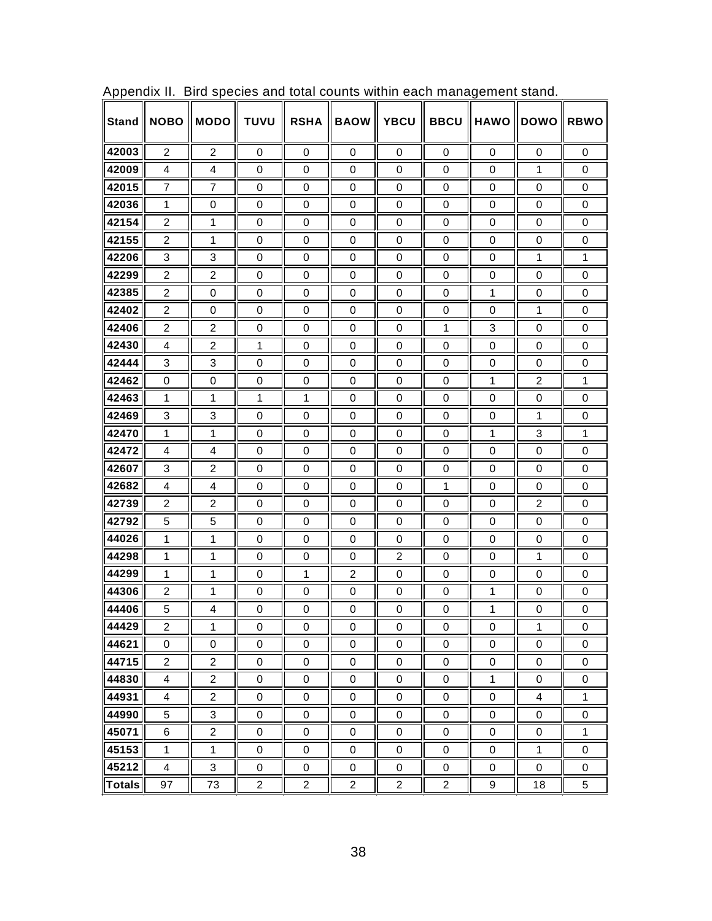| <b>Stand</b>  | <b>NOBO</b>    | <b>MODO</b>    | <b>TUVU</b>      | <b>RSHA</b>      | <b>BAOW</b>    | <b>YBCU</b>    | <b>BBCU</b>      | <b>HAWO</b>  | <b>DOWO</b>    | <b>RBWO</b>      |
|---------------|----------------|----------------|------------------|------------------|----------------|----------------|------------------|--------------|----------------|------------------|
| 42003         | $\overline{c}$ | 2              | 0                | 0                | 0              | 0              | 0                | 0            | 0              | 0                |
| 42009         | 4              | 4              | 0                | 0                | 0              | 0              | 0                | 0            | 1              | $\Omega$         |
| 42015         | $\overline{7}$ | 7              | 0                | 0                | 0              | 0              | 0                | 0            | 0              | $\mathbf 0$      |
| 42036         | 1              | $\mathbf 0$    | $\mathbf 0$      | 0                | 0              | 0              | 0                | 0            | 0              | 0                |
| 42154         | 2              | 1              | $\mathbf 0$      | $\mathbf 0$      | 0              | 0              | $\mathbf 0$      | $\mathbf 0$  | 0              | $\mathbf 0$      |
| 42155         | $\overline{2}$ | 1              | 0                | 0                | 0              | 0              | 0                | 0            | 0              | 0                |
| 42206         | 3              | 3              | 0                | 0                | 0              | 0              | 0                | $\mathbf 0$  | 1              | 1                |
| 42299         | $\overline{2}$ | $\overline{2}$ | 0                | 0                | 0              | 0              | 0                | 0            | 0              | 0                |
| 42385         | 2              | 0              | 0                | 0                | 0              | 0              | 0                | 1            | 0              | 0                |
| 42402         | 2              | 0              | 0                | 0                | 0              | 0              | 0                | 0            | 1              | 0                |
| 42406         | $\overline{2}$ | $\overline{2}$ | 0                | 0                | 0              | 0              | 1                | 3            | 0              | $\mathbf 0$      |
| 42430         | 4              | $\overline{2}$ | 1                | 0                | 0              | 0              | 0                | 0            | 0              | 0                |
| 42444         | 3              | 3              | $\mathbf 0$      | $\mathbf 0$      | 0              | 0              | $\mathbf 0$      | $\mathbf 0$  | 0              | $\mathbf 0$      |
| 42462         | 0              | $\mathbf 0$    | $\mathbf 0$      | $\mathbf 0$      | 0              | 0              | 0                | 1            | 2              | 1                |
| 42463         | 1              | 1              | 1                | 1                | 0              | 0              | 0                | 0            | $\mathbf 0$    | $\mathbf 0$      |
| 42469         | 3              | 3              | 0                | $\mathbf 0$      | 0              | 0              | 0                | 0            | 1              | 0                |
| 42470         | 1              | $\mathbf{1}$   | $\mathbf 0$      | $\mathbf 0$      | 0              | 0              | $\mathbf 0$      | $\mathbf{1}$ | 3              | 1                |
| 42472         | 4              | $\overline{4}$ | 0                | 0                | 0              | 0              | 0                | 0            | 0              | $\mathbf 0$      |
| 42607         | 3              | $\overline{2}$ | $\mathbf 0$      | $\mathbf 0$      | 0              | 0              | $\mathbf 0$      | $\mathbf 0$  | $\mathbf 0$    | $\mathbf 0$      |
| 42682         | 4              | 4              | 0                | 0                | 0              | 0              | 1                | 0            | 0              | 0                |
| 42739         | $\overline{2}$ | $\overline{2}$ | 0                | 0                | 0              | 0              | 0                | 0            | 2              | 0                |
| 42792         | 5              | 5              | 0                | 0                | 0              | 0              | 0                | 0            | 0              | 0                |
| 44026         | 1              | 1              | $\Omega$         | 0                | 0              | 0              | 0                | 0            | 0              | 0                |
| 44298         | 1              | 1              | 0                | 0                | 0              | $\overline{2}$ | 0                | 0            | 1              | 0                |
| 44299         | 1              | 1              | $\Omega$         | 1                | $\overline{2}$ | 0              | 0                | 0            | 0              | $\Omega$         |
| 44306         | 2              | 1              | 0                | 0                | 0              | 0              | 0                | 1            | 0              | 0                |
| 44406         | 5              | 4              | $\mathbf 0$      | 0                | 0              | 0              | $\mathbf 0$      | $\mathbf{1}$ | 0              | 0                |
| 44429         | 2              | 1              | 0                | 0                | 0              | 0              | 0                | 0            | 1              | 0                |
| 44621         | $\mathbf 0$    | $\mathbf 0$    | $\mathbf 0$      | $\mathbf 0$      | 0              | $\mathsf 0$    | $\mathbf 0$      | $\mathbf 0$  | $\mathbf 0$    | $\mathbf 0$      |
| 44715         | $\overline{2}$ | $\overline{2}$ | $\boldsymbol{0}$ | $\pmb{0}$        | $\pmb{0}$      | $\pmb{0}$      | $\mathbf 0$      | $\pmb{0}$    | $\pmb{0}$      | $\mathbf 0$      |
| 44830         | $\overline{4}$ | $\overline{c}$ | $\mathbf 0$      | $\boldsymbol{0}$ | $\pmb{0}$      | $\pmb{0}$      | $\mathsf 0$      | $\mathbf{1}$ | 0              | $\boldsymbol{0}$ |
| 44931         | $\overline{4}$ | $\overline{2}$ | $\pmb{0}$        | $\pmb{0}$        | $\pmb{0}$      | $\pmb{0}$      | $\boldsymbol{0}$ | $\pmb{0}$    | $\overline{4}$ | $\mathbf{1}$     |
| 44990         | 5              | 3              | $\pmb{0}$        | $\pmb{0}$        | $\pmb{0}$      | 0              | $\boldsymbol{0}$ | $\pmb{0}$    | $\pmb{0}$      | $\pmb{0}$        |
| 45071         | 6              | $\overline{c}$ | $\mathbf 0$      | 0                | 0              | 0              | 0                | 0            | 0              | $\mathbf{1}$     |
| 45153         | $\mathbf{1}$   | $\mathbf{1}$   | $\boldsymbol{0}$ | 0                | $\pmb{0}$      | 0              | 0                | 0            | $\mathbf{1}$   | 0                |
| 45212         | $\overline{4}$ | $\mathbf{3}$   | $\pmb{0}$        | $\pmb{0}$        | $\pmb{0}$      | 0              | $\pmb{0}$        | $\pmb{0}$    | $\pmb{0}$      | $\mathsf 0$      |
| <b>Totals</b> | 97             | 73             | $\overline{c}$   | $\overline{2}$   | $\overline{2}$ | $\overline{2}$ | $\overline{2}$   | 9            | 18             | 5                |

Appendix II. Bird species and total counts within each management stand.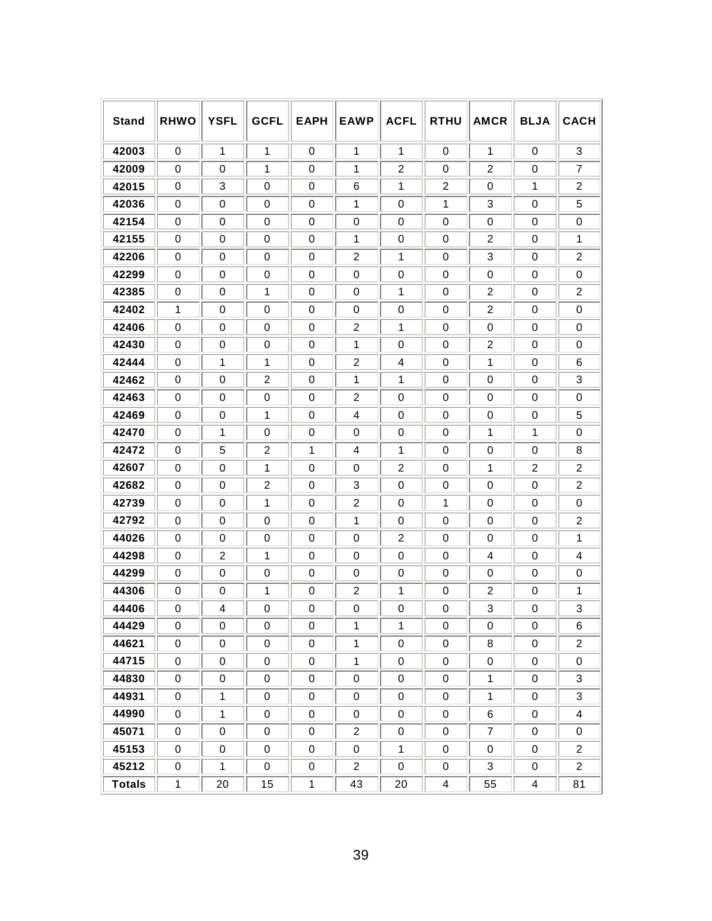| <b>Stand</b>  | <b>RHWO</b> | <b>YSFL</b>    | <b>GCFL</b>    | <b>EAPH</b>  | <b>EAWP</b>    | <b>ACFL</b>    | <b>RTHU</b>    | <b>AMCR</b>      | <b>BLJA</b>    | <b>CACH</b>    |
|---------------|-------------|----------------|----------------|--------------|----------------|----------------|----------------|------------------|----------------|----------------|
| 42003         | 0           | 1              | 1              | 0            | 1              | 1              | 0              | 1                | 0              | 3              |
| 42009         | $\mathbf 0$ | 0              | 1              | 0            | 1              | $\overline{2}$ | 0              | 2                | 0              | 7              |
| 42015         | 0           | 3              | 0              | 0            | 6              | 1              | $\overline{2}$ | 0                | 1              | $\overline{c}$ |
| 42036         | $\mathbf 0$ | 0              | $\mathbf 0$    | 0            | 1              | $\mathbf 0$    | 1              | 3                | 0              | 5              |
| 42154         | 0           | 0              | $\mathbf 0$    | 0            | 0              | $\mathbf 0$    | $\mathbf 0$    | 0                | $\mathbf 0$    | 0              |
| 42155         | $\mathbf 0$ | 0              | $\mathbf 0$    | 0            | 1              | $\mathbf 0$    | 0              | 2                | 0              | 1              |
| 42206         | 0           | 0              | 0              | 0            | $\overline{2}$ | 1              | 0              | 3                | 0              | $\overline{2}$ |
| 42299         | 0           | 0              | 0              | 0            | 0              | 0              | 0              | 0                | 0              | 0              |
| 42385         | 0           | 0              | 1              | 0            | 0              | 1              | 0              | 2                | 0              | $\overline{2}$ |
| 42402         | 1           | 0              | 0              | 0            | 0              | 0              | 0              | 2                | 0              | 0              |
| 42406         | $\mathbf 0$ | 0              | 0              | $\mathbf 0$  | $\overline{2}$ | 1              | 0              | 0                | 0              | 0              |
| 42430         | 0           | 0              | 0              | 0            | 1              | 0              | 0              | 2                | 0              | 0              |
| 42444         | $\mathbf 0$ | 1              | 1              | 0            | $\overline{2}$ | 4              | $\mathbf 0$    | 1                | $\mathbf 0$    | 6              |
| 42462         | $\mathbf 0$ | 0              | $\overline{2}$ | 0            | 1              | 1              | $\mathbf 0$    | 0                | 0              | 3              |
| 42463         | $\mathbf 0$ | 0              | $\mathbf 0$    | 0            | $\overline{2}$ | $\mathbf 0$    | 0              | 0                | $\mathbf 0$    | $\mathbf 0$    |
| 42469         | $\mathbf 0$ | 0              | 1              | 0            | 4              | 0              | $\mathbf 0$    | 0                | $\mathbf 0$    | 5              |
| 42470         | $\mathbf 0$ | 1              | $\mathbf 0$    | 0            | 0              | $\mathbf 0$    | $\mathbf 0$    | 1                | 1              | $\mathbf 0$    |
| 42472         | $\mathbf 0$ | 5              | $\overline{2}$ | 1            | 4              | 1              | $\mathbf 0$    | 0                | 0              | 8              |
| 42607         | $\mathbf 0$ | 0              | $\mathbf{1}$   | 0            | 0              | $\overline{2}$ | $\Omega$       | 1                | $\overline{2}$ | $\overline{2}$ |
| 42682         | 0           | 0              | $\overline{2}$ | 0            | 3              | 0              | 0              | 0                | 0              | $\overline{2}$ |
| 42739         | $\mathbf 0$ | 0              | $\mathbf 1$    | 0            | $\overline{2}$ | 0              | 1              | 0                | 0              | 0              |
| 42792         | 0           | 0              | 0              | 0            | 1              | 0              | 0              | 0                | 0              | $\overline{2}$ |
| 44026         | $\mathbf 0$ | 0              | $\Omega$       | 0            | 0              | $\overline{2}$ | 0              | 0                | 0              | 1              |
| 44298         | 0           | $\overline{2}$ | 1              | 0            | 0              | 0              | 0              | 4                | 0              | 4              |
| 44299         | $\mathbf 0$ | 0              | $\mathbf 0$    | 0            | 0              | $\mathbf 0$    | 0              | 0                | 0              | $\mathbf 0$    |
| 44306         | 0           | 0              | 1              | 0            | $\overline{c}$ | 1              | 0              | 2                | 0              | 1              |
| 44406         | 0           | 4              | $\Omega$       | 0            | 0              | 0              | 0              | 3                | 0              | 3              |
| 44429         | 0           | 0              | 0              | 0            | 1              | 1              | 0              | 0                | 0              | 6              |
| 44621         | $\pmb{0}$   | 0              | $\pmb{0}$      | $\pmb{0}$    | $\mathbf{1}$   | 0              | $\pmb{0}$      | 8                | 0              | $\overline{2}$ |
| 44715         | $\mathbf 0$ | 0              | $\pmb{0}$      | 0            | $\mathbf{1}$   | $\pmb{0}$      | 0              | $\pmb{0}$        | $\mathbf 0$    | 0              |
| 44830         | $\pmb{0}$   | 0              | $\pmb{0}$      | $\mathbf 0$  | $\,0\,$        | $\pmb{0}$      | $\pmb{0}$      | $\mathbf{1}$     | $\mathbf 0$    | 3              |
| 44931         | 0           | $\mathbf{1}$   | $\pmb{0}$      | 0            | 0              | 0              | 0              | $\mathbf{1}$     | 0              | 3              |
| 44990         | $\pmb{0}$   | $\mathbf{1}$   | $\pmb{0}$      | $\mathbf 0$  | $\,0\,$        | 0              | $\pmb{0}$      | $\,6$            | 0              | 4              |
| 45071         | 0           | $\pmb{0}$      | 0              | 0            | $\overline{2}$ | 0              | 0              | $\boldsymbol{7}$ | 0              | 0              |
| 45153         | $\pmb{0}$   | 0              | 0              | 0            | $\pmb{0}$      | $\mathbf{1}$   | 0              | $\pmb{0}$        | 0              | $\overline{2}$ |
| 45212         | 0           | $\mathbf{1}$   | 0              | 0            | $\overline{2}$ | 0              | 0              | $\mathbf{3}$     | 0              | $\overline{2}$ |
| <b>Totals</b> | $\mathbf 1$ | 20             | 15             | $\mathbf{1}$ | 43             | 20             | $\overline{4}$ | 55               | 4              | 81             |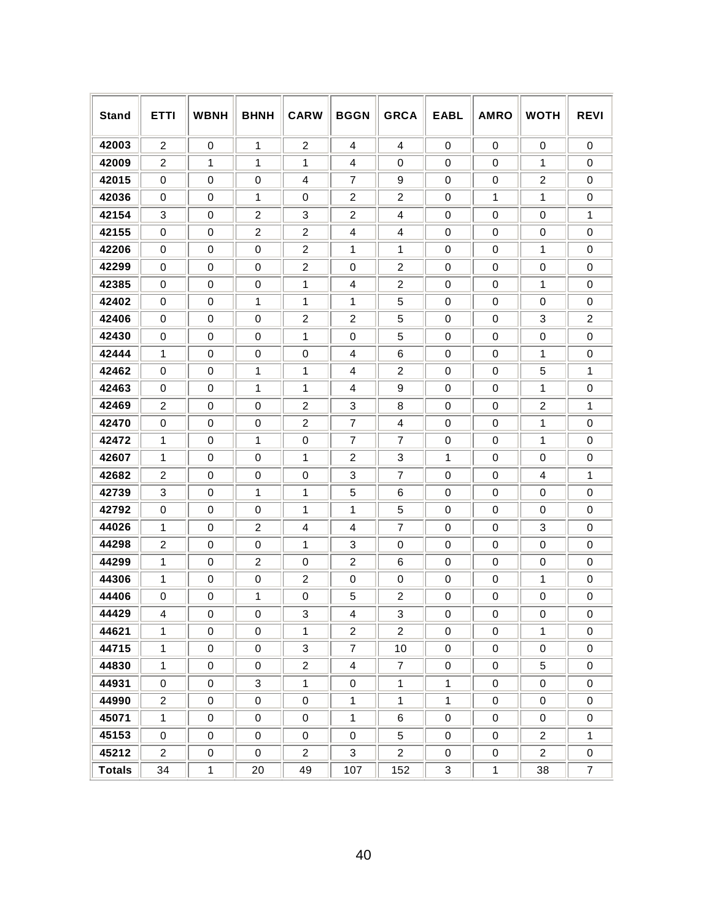| <b>Stand</b>  | <b>ETTI</b>    | <b>WBNH</b> | <b>BHNH</b>    | <b>CARW</b>    | <b>BGGN</b>    | <b>GRCA</b>    | <b>EABL</b>  | <b>AMRO</b> | <b>WOTH</b>    | <b>REVI</b>      |
|---------------|----------------|-------------|----------------|----------------|----------------|----------------|--------------|-------------|----------------|------------------|
| 42003         | $\overline{c}$ | $\mathbf 0$ | $\mathbf{1}$   | 2              | 4              | 4              | $\mathbf 0$  | $\mathbf 0$ | 0              | $\mathbf 0$      |
| 42009         | $\overline{c}$ | 1           | 1              | 1              | 4              | 0              | $\mathbf 0$  | $\mathbf 0$ | 1              | $\mathbf 0$      |
| 42015         | 0              | 0           | $\mathbf 0$    | 4              | 7              | 9              | 0            | 0           | $\overline{2}$ | $\mathbf 0$      |
| 42036         | 0              | $\mathbf 0$ | 1              | $\mathbf 0$    | $\overline{c}$ | $\overline{c}$ | $\mathbf 0$  | 1           | 1              | $\mathbf 0$      |
| 42154         | 3              | 0           | $\overline{c}$ | 3              | $\overline{c}$ | 4              | $\mathbf 0$  | 0           | 0              | 1                |
| 42155         | $\mathbf 0$    | $\mathbf 0$ | $\overline{2}$ | $\overline{2}$ | 4              | 4              | $\mathbf 0$  | 0           | $\mathbf 0$    | $\mathbf 0$      |
| 42206         | 0              | 0           | 0              | $\overline{2}$ | 1              | 1              | 0            | 0           | 1              | $\mathbf 0$      |
| 42299         | $\mathbf 0$    | $\mathbf 0$ | $\mathbf 0$    | $\overline{2}$ | $\mathbf 0$    | $\overline{c}$ | $\mathbf 0$  | $\mathbf 0$ | $\mathbf 0$    | $\mathbf 0$      |
| 42385         | 0              | 0           | 0              | 1              | 4              | $\overline{c}$ | 0            | 0           | 1              | 0                |
| 42402         | 0              | $\mathbf 0$ | 1              | 1              | 1              | 5              | $\mathbf 0$  | $\mathbf 0$ | 0              | $\mathbf 0$      |
| 42406         | 0              | 0           | 0              | 2              | $\overline{2}$ | 5              | 0            | 0           | 3              | $\overline{2}$   |
| 42430         | 0              | 0           | 0              | 1              | $\mathbf 0$    | 5              | $\mathbf 0$  | 0           | 0              | $\mathbf 0$      |
| 42444         | 1              | 0           | 0              | 0              | 4              | 6              | 0            | 0           | 1              | 0                |
| 42462         | 0              | 0           | 1              | 1              | 4              | 2              | $\mathbf 0$  | 0           | 5              | 1                |
| 42463         | 0              | 0           | 1              | 1              | 4              | 9              | 0            | 0           | 1              | 0                |
| 42469         | $\overline{c}$ | $\mathbf 0$ | $\mathbf 0$    | $\overline{2}$ | 3              | 8              | $\mathbf 0$  | $\mathbf 0$ | $\overline{2}$ | 1                |
| 42470         | 0              | 0           | 0              | $\overline{2}$ | $\overline{7}$ | 4              | 0            | 0           | 1              | 0                |
| 42472         | 1              | $\mathbf 0$ | 1              | $\mathbf 0$    | $\overline{7}$ | $\overline{7}$ | $\mathbf 0$  | $\mathbf 0$ | 1              | $\mathbf 0$      |
| 42607         | 1              | 0           | 0              | 1              | $\overline{c}$ | 3              | 1            | 0           | 0              | $\mathbf 0$      |
| 42682         | $\overline{c}$ | $\mathbf 0$ | $\mathbf 0$    | $\mathbf 0$    | 3              | 7              | $\mathbf 0$  | $\mathbf 0$ | $\overline{4}$ | 1                |
| 42739         | 3              | 0           | 1              | 1              | 5              | 6              | $\mathbf 0$  | $\mathbf 0$ | 0              | $\mathbf 0$      |
| 42792         | $\mathbf 0$    | $\mathbf 0$ | $\mathbf 0$    | 1              | 1              | 5              | $\mathbf 0$  | $\mathbf 0$ | 0              | $\mathbf 0$      |
| 44026         | 1              | 0           | $\overline{c}$ | 4              | 4              | $\overline{7}$ | $\mathbf 0$  | 0           | 3              | $\mathbf 0$      |
| 44298         | $\overline{c}$ | $\mathbf 0$ | 0              | 1              | 3              | 0              | $\mathbf 0$  | $\mathbf 0$ | $\mathbf 0$    | $\mathbf 0$      |
| 44299         | $\mathbf{1}$   | $\mathbf 0$ | 2              | 0              | 2              | 6              | $\mathbf 0$  | $\mathbf 0$ | $\mathbf 0$    | $\mathbf 0$      |
| 44306         | $\mathbf{1}$   | $\mathbf 0$ | $\mathbf 0$    | 2              | $\mathbf 0$    | 0              | 0            | 0           | 1              | $\mathbf 0$      |
| 44406         | 0              | 0           | 1              | 0              | 5              | $\overline{c}$ | 0            | 0           | 0              | $\mathbf 0$      |
| 44429         | 4              | 0           | 0              | 3              | 4              | 3              | 0            | 0           | 0              | $\Omega$         |
| 44621         | $\mathbf{1}$   | 0           | 0              | $\mathbf{1}$   | $\overline{2}$ | $\overline{2}$ | 0            | 0           | $\mathbf{1}$   | $\mathbf 0$      |
| 44715         | $\mathbf{1}$   | 0           | 0              | 3              | $\overline{7}$ | 10             | 0            | 0           | 0              | 0                |
| 44830         | $\mathbf{1}$   | 0           | 0              | $\overline{2}$ | $\overline{4}$ | $\overline{7}$ | $\mathsf 0$  | 0           | 5              | $\mathbf 0$      |
| 44931         | 0              | 0           | 3              | $\mathbf{1}$   | 0              | $\mathbf{1}$   | $\mathbf{1}$ | 0           | 0              | 0                |
| 44990         | $\overline{a}$ | 0           | 0              | $\pmb{0}$      | $\mathbf{1}$   | $\mathbf{1}$   | $\mathbf{1}$ | $\mathbf 0$ | 0              | 0                |
| 45071         | $\mathbf{1}$   | 0           | 0              | 0              | $\mathbf{1}$   | 6              | $\mathsf 0$  | 0           | 0              | 0                |
| 45153         | 0              | 0           | 0              | 0              | $\mathsf 0$    | 5              | $\mathsf 0$  | 0           | $\overline{2}$ | $\mathbf 1$      |
| 45212         | $\overline{a}$ | 0           | 0              | $\overline{2}$ | $\mathbf{3}$   | $\overline{2}$ | 0            | $\pmb{0}$   | $\overline{2}$ | $\pmb{0}$        |
| <b>Totals</b> | 34             | $\mathbf 1$ | 20             | 49             | 107            | 152            | 3            | $\mathbf 1$ | 38             | $\boldsymbol{7}$ |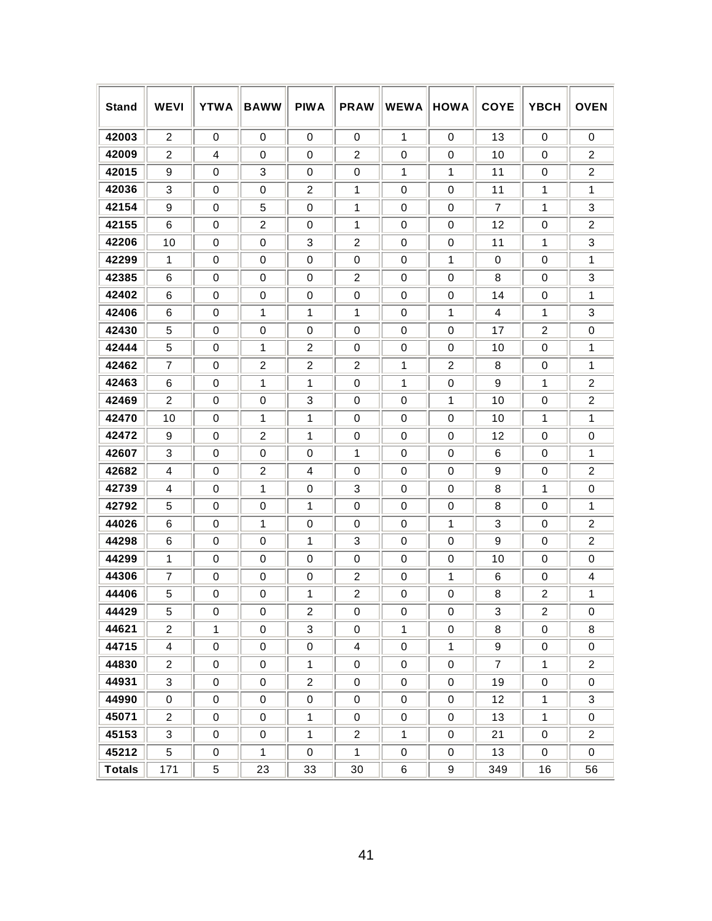| <b>Stand</b>  | <b>WEVI</b>    | <b>YTWA</b>  | <b>BAWW</b>    | <b>PIWA</b>    | <b>PRAW</b>             | <b>WEWA</b>      | <b>HOWA</b>      | <b>COYE</b>    | <b>YBCH</b>      | <b>OVEN</b>    |
|---------------|----------------|--------------|----------------|----------------|-------------------------|------------------|------------------|----------------|------------------|----------------|
| 42003         | $\overline{2}$ | 0            | 0              | 0              | 0                       | 1                | $\mathbf 0$      | 13             | 0                | 0              |
| 42009         | 2              | 4            | 0              | 0              | $\overline{2}$          | 0                | 0                | 10             | 0                | 2              |
| 42015         | 9              | 0            | 3              | $\mathbf 0$    | $\mathbf 0$             | 1                | 1                | 11             | $\mathbf 0$      | $\overline{2}$ |
| 42036         | 3              | 0            | 0              | 2              | 1                       | 0                | 0                | 11             | 1                | 1              |
| 42154         | 9              | 0            | 5              | $\mathbf 0$    | 1                       | 0                | 0                | 7              | 1                | 3              |
| 42155         | 6              | 0            | 2              | 0              | 1                       | 0                | 0                | 12             | 0                | $\overline{2}$ |
| 42206         | 10             | $\mathbf 0$  | 0              | 3              | $\overline{2}$          | $\mathbf 0$      | $\mathbf 0$      | 11             | 1                | 3              |
| 42299         | 1              | $\mathbf 0$  | 0              | $\mathbf 0$    | 0                       | 0                | 1                | 0              | $\mathbf 0$      | 1              |
| 42385         | 6              | $\mathbf 0$  | 0              | $\mathbf 0$    | $\overline{2}$          | $\mathbf 0$      | $\mathbf 0$      | 8              | $\mathbf 0$      | 3              |
| 42402         | 6              | 0            | 0              | 0              | $\mathbf 0$             | 0                | $\mathbf 0$      | 14             | 0                | 1              |
| 42406         | 6              | $\mathbf 0$  | 1              | 1              | 1                       | $\mathbf 0$      | 1                | 4              | 1                | 3              |
| 42430         | 5              | $\mathbf 0$  | 0              | 0              | $\mathbf 0$             | 0                | $\mathbf 0$      | 17             | $\overline{2}$   | 0              |
| 42444         | 5              | 0            | 1              | $\overline{2}$ | 0                       | 0                | $\mathbf 0$      | 10             | 0                | 1              |
| 42462         | 7              | 0            | $\overline{c}$ | $\overline{2}$ | 2                       | 1                | $\overline{2}$   | 8              | 0                | 1              |
| 42463         | 6              | 0            | 1              | 1              | $\Omega$                | 1                | 0                | 9              | 1                | $\overline{2}$ |
| 42469         | 2              | 0            | 0              | 3              | 0                       | 0                | 1                | 10             | 0                | $\overline{2}$ |
| 42470         | 10             | 0            | 1              | 1              | 0                       | 0                | 0                | 10             | 1                | 1              |
| 42472         | 9              | 0            | $\overline{2}$ | 1              | 0                       | 0                | 0                | 12             | 0                | 0              |
| 42607         | 3              | 0            | 0              | $\mathbf 0$    | 1                       | 0                | 0                | 6              | $\Omega$         | 1              |
| 42682         | 4              | 0            | 2              | 4              | 0                       | 0                | 0                | 9              | 0                | 2              |
| 42739         | 4              | 0            | 1              | $\mathbf 0$    | 3                       | 0                | 0                | 8              | 1                | 0              |
| 42792         | 5              | $\mathbf 0$  | 0              | 1              | $\mathbf 0$             | 0                | $\mathbf 0$      | 8              | 0                | 1              |
| 44026         | 6              | $\mathbf 0$  | 1              | $\mathbf 0$    | 0                       | 0                | 1                | 3              | $\mathbf 0$      | $\overline{2}$ |
| 44298         | 6              | 0            | 0              | 1              | 3                       | 0                | $\mathbf 0$      | 9              | 0                | $\overline{2}$ |
| 44299         | 1              | 0            | 0              | $\mathbf 0$    | 0                       | 0                | 0                | 10             | $\mathbf 0$      | $\Omega$       |
| 44306         | $\overline{7}$ | 0            | 0              | 0              | $\overline{2}$          | 0                | 1                | 6              | 0                | 4              |
| 44406         | 5              | 0            | 0              | 1              | $\overline{2}$          | 0                | 0                | 8              | $\overline{2}$   | 1              |
| 44429         | 5              | $\pmb{0}$    | 0              | $\overline{2}$ | $\pmb{0}$               | $\pmb{0}$        | $\pmb{0}$        | 3              | $\boldsymbol{2}$ | $\pmb{0}$      |
| 44621         | $\overline{2}$ | $\mathbf{1}$ | $\pmb{0}$      | 3              | $\pmb{0}$               | 1                | $\pmb{0}$        | 8              | $\mathsf 0$      | 8              |
| 44715         | $\overline{4}$ | $\pmb{0}$    | $\pmb{0}$      | $\mathbf 0$    | $\overline{\mathbf{4}}$ | $\boldsymbol{0}$ | $\mathbf{1}$     | 9              | $\mathsf 0$      | 0              |
| 44830         | $\overline{2}$ | $\pmb{0}$    | $\pmb{0}$      | $\mathbf{1}$   | $\pmb{0}$               | $\pmb{0}$        | $\pmb{0}$        | $\overline{7}$ | $\mathbf 1$      | $\overline{a}$ |
| 44931         | 3              | $\pmb{0}$    | $\pmb{0}$      | $\overline{2}$ | $\boldsymbol{0}$        | $\pmb{0}$        | $\pmb{0}$        | 19             | $\boldsymbol{0}$ | $\pmb{0}$      |
| 44990         | $\mathbf 0$    | $\pmb{0}$    | $\pmb{0}$      | $\pmb{0}$      | $\pmb{0}$               | $\pmb{0}$        | $\pmb{0}$        | 12             | $\mathbf{1}$     | 3              |
| 45071         | $\overline{2}$ | $\pmb{0}$    | $\pmb{0}$      | $\mathbf{1}$   | $\pmb{0}$               | $\pmb{0}$        | $\pmb{0}$        | 13             | $\mathbf{1}$     | $\mathbf 0$    |
| 45153         | 3              | $\pmb{0}$    | $\pmb{0}$      | $\mathbf{1}$   | $\overline{c}$          | $\mathbf 1$      | $\pmb{0}$        | 21             | 0                | $\overline{a}$ |
| 45212         | 5              | $\pmb{0}$    | $\mathbf{1}$   | $\pmb{0}$      | $\mathbf{1}$            | $\pmb{0}$        | $\pmb{0}$        | 13             | $\boldsymbol{0}$ | $\pmb{0}$      |
| <b>Totals</b> | 171            | 5            | 23             | 33             | 30                      | 6                | $\boldsymbol{9}$ | 349            | 16               | 56             |